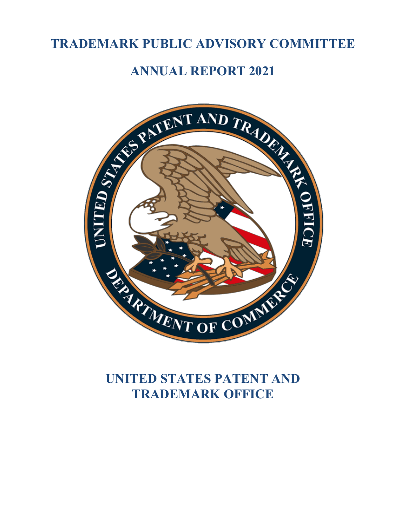# **TRADEMARK PUBLIC ADVISORY COMMITTEE**



# **UNITED STATES PATENT AND TRADEMARK OFFICE**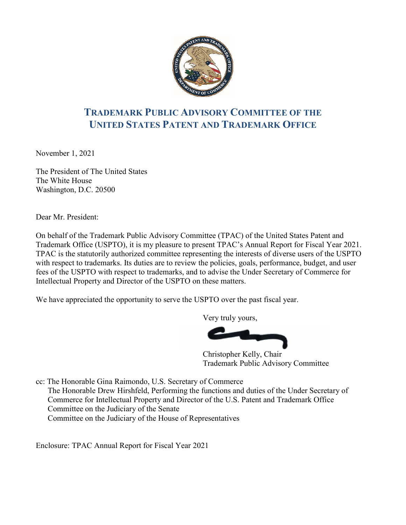

# **TRADEMARK PUBLIC ADVISORY COMMITTEE OF THE UNITED STATES PATENT AND TRADEMARK OFFICE**

November 1, 2021

The President of The United States The White House Washington, D.C. 20500

Dear Mr. President:

On behalf of the Trademark Public Advisory Committee (TPAC) of the United States Patent and Trademark Office (USPTO), it is my pleasure to present TPAC's Annual Report for Fiscal Year 2021. TPAC is the statutorily authorized committee representing the interests of diverse users of the USPTO with respect to trademarks. Its duties are to review the policies, goals, performance, budget, and user fees of the USPTO with respect to trademarks, and to advise the Under Secretary of Commerce for Intellectual Property and Director of the USPTO on these matters.

We have appreciated the opportunity to serve the USPTO over the past fiscal year.

Very truly yours,

Christopher Kelly, Chair Trademark Public Advisory Committee

cc: The Honorable Gina Raimondo, U.S. Secretary of Commerce The Honorable Drew Hirshfeld, Performing the functions and duties of the Under Secretary of Commerce for Intellectual Property and Director of the U.S. Patent and Trademark Office Committee on the Judiciary of the Senate Committee on the Judiciary of the House of Representatives

Enclosure: TPAC Annual Report for Fiscal Year 2021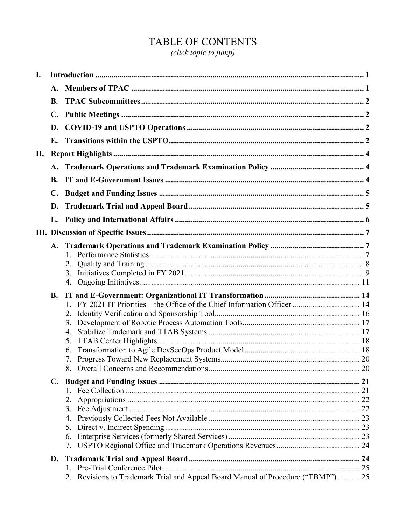# TABLE OF CONTENTS

(click topic to jump)

| I. |                |                                                                                      |  |
|----|----------------|--------------------------------------------------------------------------------------|--|
|    | A.             |                                                                                      |  |
|    | <b>B.</b>      |                                                                                      |  |
|    | $\mathbf{C}$ . |                                                                                      |  |
|    | D.             |                                                                                      |  |
|    | Е.             |                                                                                      |  |
| П. |                |                                                                                      |  |
|    | <b>A.</b>      |                                                                                      |  |
|    | <b>B.</b>      |                                                                                      |  |
|    | $\mathbf{C}$ . |                                                                                      |  |
|    | D.             |                                                                                      |  |
|    | Е.             |                                                                                      |  |
|    |                |                                                                                      |  |
|    | A.             | 1.<br>3.<br>4.                                                                       |  |
|    | <b>B.</b>      | 2.<br>3.<br>4.<br>5.<br>6.                                                           |  |
|    | $\mathbf{C}$ . | 5.<br>6.                                                                             |  |
|    | D.             | Revisions to Trademark Trial and Appeal Board Manual of Procedure ("TBMP")  25<br>2. |  |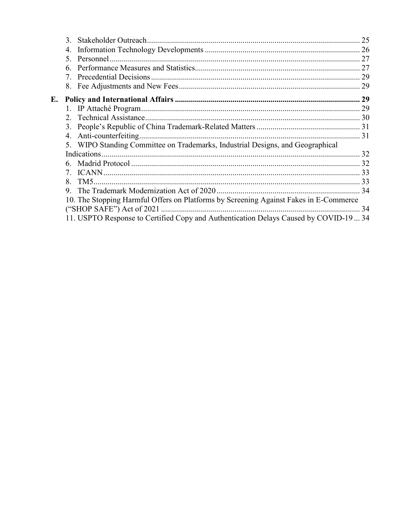|    | $\mathcal{F}$  |                                                                                       |  |
|----|----------------|---------------------------------------------------------------------------------------|--|
|    | 4.             |                                                                                       |  |
|    | 5 <sub>1</sub> |                                                                                       |  |
|    | 6.             |                                                                                       |  |
|    |                |                                                                                       |  |
|    |                |                                                                                       |  |
| E. |                |                                                                                       |  |
|    |                |                                                                                       |  |
|    | $2^{+}$        |                                                                                       |  |
|    | 3.             |                                                                                       |  |
|    | 4.             |                                                                                       |  |
|    |                | WIPO Standing Committee on Trademarks, Industrial Designs, and Geographical           |  |
|    |                |                                                                                       |  |
|    |                |                                                                                       |  |
|    |                |                                                                                       |  |
|    | 8.             |                                                                                       |  |
|    | 9.             |                                                                                       |  |
|    |                | 10. The Stopping Harmful Offers on Platforms by Screening Against Fakes in E-Commerce |  |
|    |                |                                                                                       |  |
|    |                | 11. USPTO Response to Certified Copy and Authentication Delays Caused by COVID-19  34 |  |
|    |                |                                                                                       |  |
|    |                |                                                                                       |  |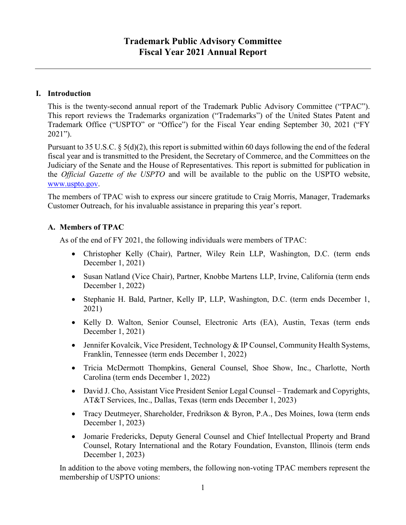# <span id="page-4-0"></span>**I. Introduction**

This is the twenty-second annual report of the Trademark Public Advisory Committee ("TPAC"). This report reviews the Trademarks organization ("Trademarks") of the United States Patent and Trademark Office ("USPTO" or "Office") for the Fiscal Year ending September 30, 2021 ("FY 2021").

Pursuant to 35 U.S.C. § 5(d)(2), this report is submitted within 60 days following the end of the federal fiscal year and is transmitted to the President, the Secretary of Commerce, and the Committees on the Judiciary of the Senate and the House of Representatives. This report is submitted for publication in the *Official Gazette of the USPTO* and will be available to the public on the USPTO website, [www.uspto.gov.](https://usptogov-my.sharepoint.com/personal/reisinger_uspto_gov/Documents/DCOS%20-%20Current%20drafts/www.uspto.gov)

The members of TPAC wish to express our sincere gratitude to Craig Morris, Manager, Trademarks Customer Outreach, for his invaluable assistance in preparing this year's report.

# <span id="page-4-1"></span>**A. Members of TPAC**

As of the end of FY 2021, the following individuals were members of TPAC:

- Christopher Kelly (Chair), Partner, Wiley Rein LLP, Washington, D.C. (term ends December 1, 2021)
- Susan Natland (Vice Chair), Partner, Knobbe Martens LLP, Irvine, California (term ends December 1, 2022)
- Stephanie H. Bald, Partner, Kelly IP, LLP, Washington, D.C. (term ends December 1, 2021)
- Kelly D. Walton, Senior Counsel, Electronic Arts (EA), Austin, Texas (term ends December 1, 2021)
- Jennifer Kovalcik, Vice President, Technology & IP Counsel, Community Health Systems, Franklin, Tennessee (term ends December 1, 2022)
- Tricia McDermott Thompkins, General Counsel, Shoe Show, Inc., Charlotte, North Carolina (term ends December 1, 2022)
- David J. Cho, Assistant Vice President Senior Legal Counsel Trademark and Copyrights, AT&T Services, Inc., Dallas, Texas (term ends December 1, 2023)
- Tracy Deutmeyer, Shareholder, Fredrikson & Byron, P.A., Des Moines, Iowa (term ends December 1, 2023)
- Jomarie Fredericks, Deputy General Counsel and Chief Intellectual Property and Brand Counsel, Rotary International and the Rotary Foundation, Evanston, Illinois (term ends December 1, 2023)

In addition to the above voting members, the following non-voting TPAC members represent the membership of USPTO unions: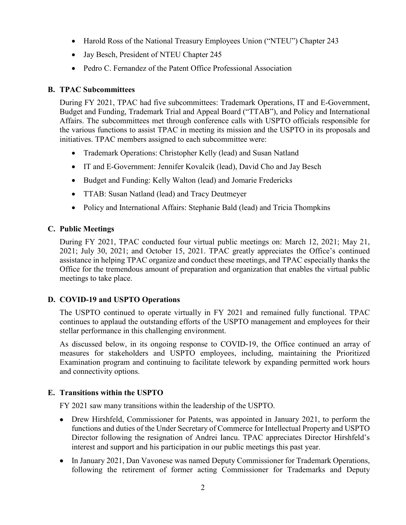- Harold Ross of the National Treasury Employees Union ("NTEU") Chapter 243
- Jay Besch, President of NTEU Chapter 245
- Pedro C. Fernandez of the Patent Office Professional Association

# <span id="page-5-0"></span>**B. TPAC Subcommittees**

During FY 2021, TPAC had five subcommittees: Trademark Operations, IT and E-Government, Budget and Funding, Trademark Trial and Appeal Board ("TTAB"), and Policy and International Affairs. The subcommittees met through conference calls with USPTO officials responsible for the various functions to assist TPAC in meeting its mission and the USPTO in its proposals and initiatives. TPAC members assigned to each subcommittee were:

- Trademark Operations: Christopher Kelly (lead) and Susan Natland
- IT and E-Government: Jennifer Kovalcik (lead), David Cho and Jay Besch
- Budget and Funding: Kelly Walton (lead) and Jomarie Fredericks
- TTAB: Susan Natland (lead) and Tracy Deutmeyer
- Policy and International Affairs: Stephanie Bald (lead) and Tricia Thompkins

# <span id="page-5-1"></span>**C. Public Meetings**

During FY 2021, TPAC conducted four virtual public meetings on: March 12, 2021; May 21, 2021; July 30, 2021; and October 15, 2021. TPAC greatly appreciates the Office's continued assistance in helping TPAC organize and conduct these meetings, and TPAC especially thanks the Office for the tremendous amount of preparation and organization that enables the virtual public meetings to take place.

# <span id="page-5-2"></span>**D. COVID-19 and USPTO Operations**

The USPTO continued to operate virtually in FY 2021 and remained fully functional. TPAC continues to applaud the outstanding efforts of the USPTO management and employees for their stellar performance in this challenging environment.

As discussed below, in its ongoing response to COVID-19, the Office continued an array of measures for stakeholders and USPTO employees, including, maintaining the Prioritized Examination program and continuing to facilitate telework by expanding permitted work hours and connectivity options.

# <span id="page-5-3"></span>**E. Transitions within the USPTO**

FY 2021 saw many transitions within the leadership of the USPTO.

- Drew Hirshfeld, Commissioner for Patents, was appointed in January 2021, to perform the functions and duties of the Under Secretary of Commerce for Intellectual Property and USPTO Director following the resignation of Andrei Iancu. TPAC appreciates Director Hirshfeld's interest and support and his participation in our public meetings this past year.
- In January 2021, Dan Vavonese was named Deputy Commissioner for Trademark Operations, following the retirement of former acting Commissioner for Trademarks and Deputy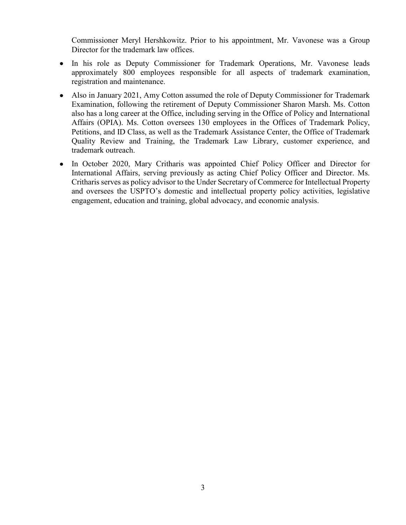Commissioner Meryl Hershkowitz. Prior to his appointment, Mr. Vavonese was a Group Director for the trademark law offices.

- In his role as Deputy Commissioner for Trademark Operations, Mr. Vavonese leads approximately 800 employees responsible for all aspects of trademark examination, registration and maintenance.
- Also in January 2021, Amy Cotton assumed the role of Deputy Commissioner for Trademark Examination, following the retirement of Deputy Commissioner Sharon Marsh. Ms. Cotton also has a long career at the Office, including serving in the Office of Policy and International Affairs (OPIA). Ms. Cotton oversees 130 employees in the Offices of Trademark Policy, Petitions, and ID Class, as well as the Trademark Assistance Center, the Office of Trademark Quality Review and Training, the Trademark Law Library, customer experience, and trademark outreach.
- In October 2020, Mary Critharis was appointed Chief Policy Officer and Director for International Affairs, serving previously as acting Chief Policy Officer and Director. Ms. Critharis serves as policy advisor to the Under Secretary of Commerce for Intellectual Property and oversees the USPTO's domestic and intellectual property policy activities, legislative engagement, education and training, global advocacy, and economic analysis.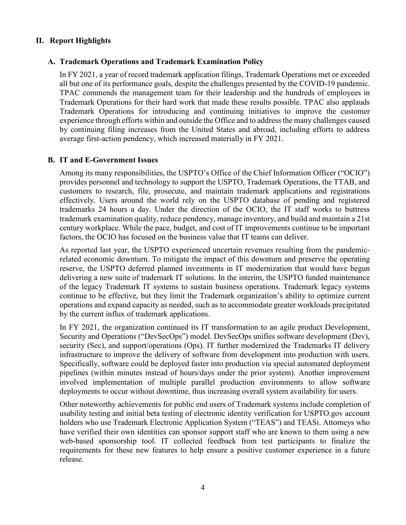# <span id="page-7-1"></span><span id="page-7-0"></span>**II. Report Highlights**

#### **A. Trademark Operations and Trademark Examination Policy**

In FY 2021, a year of record trademark application filings, Trademark Operations met or exceeded all but one of its performance goals, despite the challenges presented by the COVID-19 pandemic. TPAC commends the management team for their leadership and the hundreds of employees in Trademark Operations for their hard work that made these results possible. TPAC also applauds Trademark Operations for introducing and continuing initiatives to improve the customer experience through efforts within and outside the Office and to address the many challenges caused by continuing filing increases from the United States and abroad, including efforts to address average first-action pendency, which increased materially in FY 2021.

#### <span id="page-7-2"></span>**B. IT and E-Government Issues**

Among its many responsibilities, the USPTO's Office of the Chief Information Officer ("OCIO") provides personnel and technology to support the USPTO, Trademark Operations, the TTAB, and customers to research, file, prosecute, and maintain trademark applications and registrations effectively. Users around the world rely on the USPTO database of pending and registered trademarks 24 hours a day. Under the direction of the OCIO, the IT staff works to buttress trademark examination quality, reduce pendency, manage inventory, and build and maintain a 21st century workplace. While the pace, budget, and cost of IT improvements continue to be important factors, the OCIO has focused on the business value that IT teams can deliver.

As reported last year, the USPTO experienced uncertain revenues resulting from the pandemicrelated economic downturn. To mitigate the impact of this downturn and preserve the operating reserve, the USPTO deferred planned investments in IT modernization that would have begun delivering a new suite of trademark IT solutions. In the interim, the USPTO funded maintenance of the legacy Trademark IT systems to sustain business operations. Trademark legacy systems continue to be effective, but they limit the Trademark organization's ability to optimize current operations and expand capacity as needed, such as to accommodate greater workloads precipitated by the current influx of trademark applications.

In FY 2021, the organization continued its IT transformation to an agile product Development, Security and Operations ("DevSecOps") model. DevSecOps unifies software development (Dev), security (Sec), and support/operations (Ops). IT further modernized the Trademarks IT delivery infrastructure to improve the delivery of software from development into production with users. Specifically, software could be deployed faster into production via special automated deployment pipelines (within minutes instead of hours/days under the prior system). Another improvement involved implementation of multiple parallel production environments to allow software deployments to occur without downtime, thus increasing overall system availability for users.

Other noteworthy achievements for public end users of Trademark systems include completion of usability testing and initial beta testing of electronic identity verification for USPTO.gov account holders who use Trademark Electronic Application System ("TEAS") and TEASi. Attorneys who have verified their own identities can sponsor support staff who are known to them using a new web-based sponsorship tool. IT collected feedback from test participants to finalize the requirements for these new features to help ensure a positive customer experience in a future release.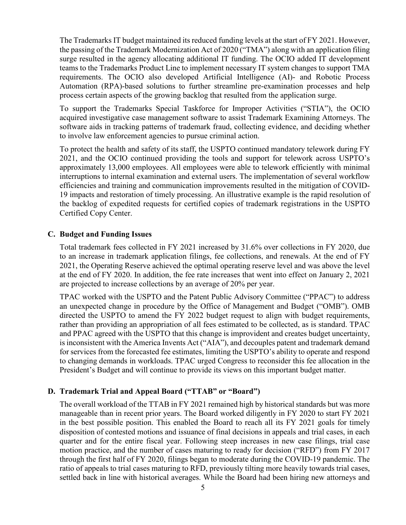The Trademarks IT budget maintained its reduced funding levels at the start of FY 2021. However, the passing of the Trademark Modernization Act of 2020 ("TMA") along with an application filing surge resulted in the agency allocating additional IT funding. The OCIO added IT development teams to the Trademarks Product Line to implement necessary IT system changes to support TMA requirements. The OCIO also developed Artificial Intelligence (AI)- and Robotic Process Automation (RPA)-based solutions to further streamline pre-examination processes and help process certain aspects of the growing backlog that resulted from the application surge.

To support the Trademarks Special Taskforce for Improper Activities ("STIA"), the OCIO acquired investigative case management software to assist Trademark Examining Attorneys. The software aids in tracking patterns of trademark fraud, collecting evidence, and deciding whether to involve law enforcement agencies to pursue criminal action.

To protect the health and safety of its staff, the USPTO continued mandatory telework during FY 2021, and the OCIO continued providing the tools and support for telework across USPTO's approximately 13,000 employees. All employees were able to telework efficiently with minimal interruptions to internal examination and external users. The implementation of several workflow efficiencies and training and communication improvements resulted in the mitigation of COVID-19 impacts and restoration of timely processing. An illustrative example is the rapid resolution of the backlog of expedited requests for certified copies of trademark registrations in the USPTO Certified Copy Center.

#### <span id="page-8-0"></span>**C. Budget and Funding Issues**

Total trademark fees collected in FY 2021 increased by 31.6% over collections in FY 2020, due to an increase in trademark application filings, fee collections, and renewals. At the end of FY 2021, the Operating Reserve achieved the optimal operating reserve level and was above the level at the end of FY 2020. In addition, the fee rate increases that went into effect on January 2, 2021 are projected to increase collections by an average of 20% per year.

TPAC worked with the USPTO and the Patent Public Advisory Committee ("PPAC") to address an unexpected change in procedure by the Office of Management and Budget ("OMB"). OMB directed the USPTO to amend the FY 2022 budget request to align with budget requirements, rather than providing an appropriation of all fees estimated to be collected, as is standard. TPAC and PPAC agreed with the USPTO that this change is improvident and creates budget uncertainty, is inconsistent with the America Invents Act ("AIA"), and decouples patent and trademark demand for services from the forecasted fee estimates, limiting the USPTO's ability to operate and respond to changing demands in workloads. TPAC urged Congress to reconsider this fee allocation in the President's Budget and will continue to provide its views on this important budget matter.

# <span id="page-8-1"></span>**D. Trademark Trial and Appeal Board ("TTAB" or "Board")**

The overall workload of the TTAB in FY 2021 remained high by historical standards but was more manageable than in recent prior years. The Board worked diligently in FY 2020 to start FY 2021 in the best possible position. This enabled the Board to reach all its FY 2021 goals for timely disposition of contested motions and issuance of final decisions in appeals and trial cases, in each quarter and for the entire fiscal year. Following steep increases in new case filings, trial case motion practice, and the number of cases maturing to ready for decision ("RFD") from FY 2017 through the first half of FY 2020, filings began to moderate during the COVID-19 pandemic. The ratio of appeals to trial cases maturing to RFD, previously tilting more heavily towards trial cases, settled back in line with historical averages. While the Board had been hiring new attorneys and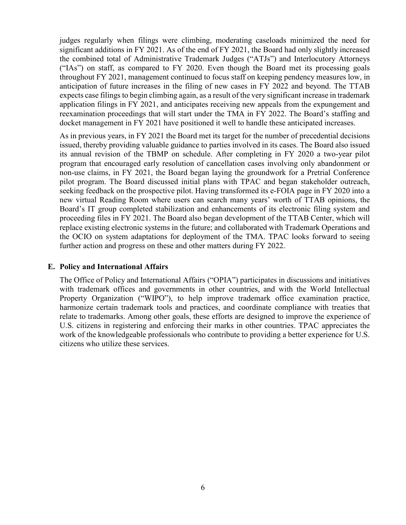judges regularly when filings were climbing, moderating caseloads minimized the need for significant additions in FY 2021. As of the end of FY 2021, the Board had only slightly increased the combined total of Administrative Trademark Judges ("ATJs") and Interlocutory Attorneys ("IAs") on staff, as compared to FY 2020. Even though the Board met its processing goals throughout FY 2021, management continued to focus staff on keeping pendency measures low, in anticipation of future increases in the filing of new cases in FY 2022 and beyond. The TTAB expects case filings to begin climbing again, as a result of the very significant increase in trademark application filings in FY 2021, and anticipates receiving new appeals from the expungement and reexamination proceedings that will start under the TMA in FY 2022. The Board's staffing and docket management in FY 2021 have positioned it well to handle these anticipated increases.

As in previous years, in FY 2021 the Board met its target for the number of precedential decisions issued, thereby providing valuable guidance to parties involved in its cases. The Board also issued its annual revision of the TBMP on schedule. After completing in FY 2020 a two-year pilot program that encouraged early resolution of cancellation cases involving only abandonment or non-use claims, in FY 2021, the Board began laying the groundwork for a Pretrial Conference pilot program. The Board discussed initial plans with TPAC and began stakeholder outreach, seeking feedback on the prospective pilot. Having transformed its e-FOIA page in FY 2020 into a new virtual Reading Room where users can search many years' worth of TTAB opinions, the Board's IT group completed stabilization and enhancements of its electronic filing system and proceeding files in FY 2021. The Board also began development of the TTAB Center, which will replace existing electronic systems in the future; and collaborated with Trademark Operations and the OCIO on system adaptations for deployment of the TMA. TPAC looks forward to seeing further action and progress on these and other matters during FY 2022.

#### <span id="page-9-0"></span>**E. Policy and International Affairs**

The Office of Policy and International Affairs ("OPIA") participates in discussions and initiatives with trademark offices and governments in other countries, and with the World Intellectual Property Organization ("WIPO"), to help improve trademark office examination practice, harmonize certain trademark tools and practices, and coordinate compliance with treaties that relate to trademarks. Among other goals, these efforts are designed to improve the experience of U.S. citizens in registering and enforcing their marks in other countries. TPAC appreciates the work of the knowledgeable professionals who contribute to providing a better experience for U.S. citizens who utilize these services.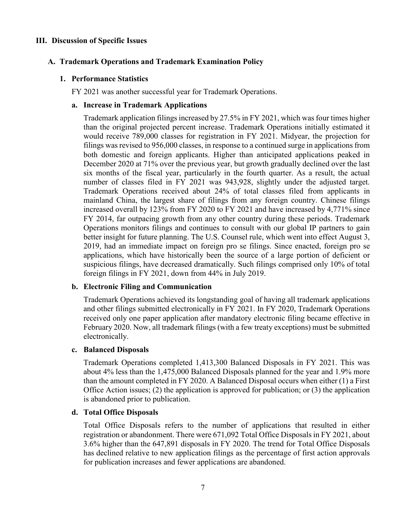#### <span id="page-10-1"></span><span id="page-10-0"></span>**III. Discussion of Specific Issues**

#### <span id="page-10-2"></span>**A. Trademark Operations and Trademark Examination Policy**

#### **1. Performance Statistics**

FY 2021 was another successful year for Trademark Operations.

#### **a. Increase in Trademark Applications**

Trademark application filings increased by 27.5% in FY 2021, which was four times higher than the original projected percent increase. Trademark Operations initially estimated it would receive 789,000 classes for registration in FY 2021. Midyear, the projection for filings was revised to 956,000 classes, in response to a continued surge in applications from both domestic and foreign applicants. Higher than anticipated applications peaked in December 2020 at 71% over the previous year, but growth gradually declined over the last six months of the fiscal year, particularly in the fourth quarter. As a result, the actual number of classes filed in FY 2021 was 943,928, slightly under the adjusted target. Trademark Operations received about 24% of total classes filed from applicants in mainland China, the largest share of filings from any foreign country. Chinese filings increased overall by 123% from FY 2020 to FY 2021 and have increased by 4,771% since FY 2014, far outpacing growth from any other country during these periods. Trademark Operations monitors filings and continues to consult with our global IP partners to gain better insight for future planning. The U.S. Counsel rule, which went into effect August 3, 2019, had an immediate impact on foreign pro se filings. Since enacted, foreign pro se applications, which have historically been the source of a large portion of deficient or suspicious filings, have decreased dramatically. Such filings comprised only 10% of total foreign filings in FY 2021, down from 44% in July 2019.

#### **b. Electronic Filing and Communication**

Trademark Operations achieved its longstanding goal of having all trademark applications and other filings submitted electronically in FY 2021. In FY 2020, Trademark Operations received only one paper application after mandatory electronic filing became effective in February 2020. Now, all trademark filings (with a few treaty exceptions) must be submitted electronically.

#### **c. Balanced Disposals**

Trademark Operations completed 1,413,300 Balanced Disposals in FY 2021. This was about 4% less than the 1,475,000 Balanced Disposals planned for the year and 1.9% more than the amount completed in FY 2020. A Balanced Disposal occurs when either (1) a First Office Action issues; (2) the application is approved for publication; or (3) the application is abandoned prior to publication.

#### **d. Total Office Disposals**

Total Office Disposals refers to the number of applications that resulted in either registration or abandonment. There were 671,092 Total Office Disposals in FY 2021, about 3.6% higher than the 647,891 disposals in FY 2020. The trend for Total Office Disposals has declined relative to new application filings as the percentage of first action approvals for publication increases and fewer applications are abandoned.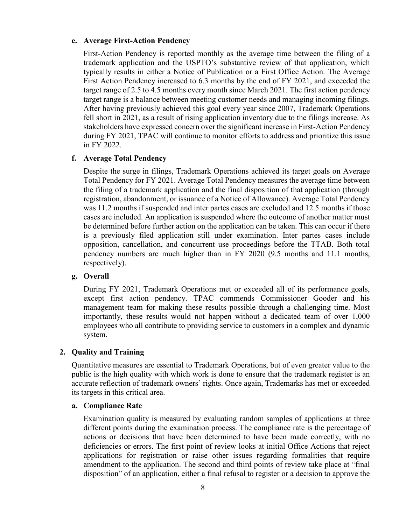#### **e. Average First-Action Pendency**

First-Action Pendency is reported monthly as the average time between the filing of a trademark application and the USPTO's substantive review of that application, which typically results in either a Notice of Publication or a First Office Action. The Average First Action Pendency increased to 6.3 months by the end of FY 2021, and exceeded the target range of 2.5 to 4.5 months every month since March 2021. The first action pendency target range is a balance between meeting customer needs and managing incoming filings. After having previously achieved this goal every year since 2007, Trademark Operations fell short in 2021, as a result of rising application inventory due to the filings increase. As stakeholders have expressed concern over the significant increase in First-Action Pendency during FY 2021, TPAC will continue to monitor efforts to address and prioritize this issue in FY 2022.

# **f. Average Total Pendency**

Despite the surge in filings, Trademark Operations achieved its target goals on Average Total Pendency for FY 2021. Average Total Pendency measures the average time between the filing of a trademark application and the final disposition of that application (through registration, abandonment, or issuance of a Notice of Allowance). Average Total Pendency was 11.2 months if suspended and inter partes cases are excluded and 12.5 months if those cases are included. An application is suspended where the outcome of another matter must be determined before further action on the application can be taken. This can occur if there is a previously filed application still under examination. Inter partes cases include opposition, cancellation, and concurrent use proceedings before the TTAB. Both total pendency numbers are much higher than in FY 2020 (9.5 months and 11.1 months, respectively).

#### **g. Overall**

During FY 2021, Trademark Operations met or exceeded all of its performance goals, except first action pendency. TPAC commends Commissioner Gooder and his management team for making these results possible through a challenging time. Most importantly, these results would not happen without a dedicated team of over 1,000 employees who all contribute to providing service to customers in a complex and dynamic system.

# <span id="page-11-0"></span>**2. Quality and Training**

Quantitative measures are essential to Trademark Operations, but of even greater value to the public is the high quality with which work is done to ensure that the trademark register is an accurate reflection of trademark owners' rights. Once again, Trademarks has met or exceeded its targets in this critical area.

#### **a. Compliance Rate**

Examination quality is measured by evaluating random samples of applications at three different points during the examination process. The compliance rate is the percentage of actions or decisions that have been determined to have been made correctly, with no deficiencies or errors. The first point of review looks at initial Office Actions that reject applications for registration or raise other issues regarding formalities that require amendment to the application. The second and third points of review take place at "final disposition" of an application, either a final refusal to register or a decision to approve the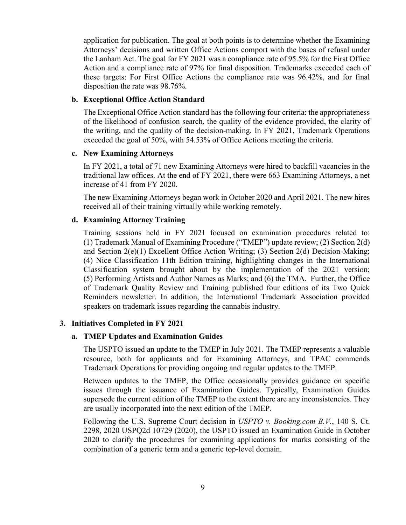application for publication. The goal at both points is to determine whether the Examining Attorneys' decisions and written Office Actions comport with the bases of refusal under the Lanham Act. The goal for FY 2021 was a compliance rate of 95.5% for the First Office Action and a compliance rate of 97% for final disposition. Trademarks exceeded each of these targets: For First Office Actions the compliance rate was 96.42%, and for final disposition the rate was 98.76%.

#### **b. Exceptional Office Action Standard**

The Exceptional Office Action standard has the following four criteria: the appropriateness of the likelihood of confusion search, the quality of the evidence provided, the clarity of the writing, and the quality of the decision-making. In FY 2021, Trademark Operations exceeded the goal of 50%, with 54.53% of Office Actions meeting the criteria.

#### **c. New Examining Attorneys**

In FY 2021, a total of 71 new Examining Attorneys were hired to backfill vacancies in the traditional law offices. At the end of FY 2021, there were 663 Examining Attorneys, a net increase of 41 from FY 2020.

The new Examining Attorneys began work in October 2020 and April 2021. The new hires received all of their training virtually while working remotely.

#### **d. Examining Attorney Training**

Training sessions held in FY 2021 focused on examination procedures related to: (1) Trademark Manual of Examining Procedure ("TMEP") update review; (2) Section 2(d) and Section 2(e)(1) Excellent Office Action Writing; (3) Section 2(d) Decision-Making; (4) Nice Classification 11th Edition training, highlighting changes in the International Classification system brought about by the implementation of the 2021 version; (5) Performing Artists and Author Names as Marks; and (6) the TMA. Further, the Office of Trademark Quality Review and Training published four editions of its Two Quick Reminders newsletter. In addition, the International Trademark Association provided speakers on trademark issues regarding the cannabis industry.

#### <span id="page-12-0"></span>**3. Initiatives Completed in FY 2021**

#### **a. TMEP Updates and Examination Guides**

The USPTO issued an update to the TMEP in July 2021. The TMEP represents a valuable resource, both for applicants and for Examining Attorneys, and TPAC commends Trademark Operations for providing ongoing and regular updates to the TMEP.

Between updates to the TMEP, the Office occasionally provides guidance on specific issues through the issuance of Examination Guides. Typically, Examination Guides supersede the current edition of the TMEP to the extent there are any inconsistencies. They are usually incorporated into the next edition of the TMEP.

Following the U.S. Supreme Court decision in *USPTO v. Booking.com B.V.*, 140 S. Ct. 2298, 2020 USPQ2d 10729 (2020), the USPTO issued an Examination Guide in October 2020 to clarify the procedures for examining applications for marks consisting of the combination of a generic term and a generic top-level domain.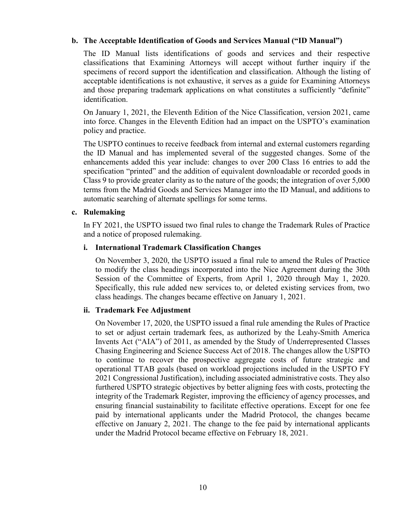# **b. The Acceptable Identification of Goods and Services Manual ("ID Manual")**

The ID Manual lists identifications of goods and services and their respective classifications that Examining Attorneys will accept without further inquiry if the specimens of record support the identification and classification. Although the listing of acceptable identifications is not exhaustive, it serves as a guide for Examining Attorneys and those preparing trademark applications on what constitutes a sufficiently "definite" identification.

On January 1, 2021, the Eleventh Edition of the Nice Classification, version 2021, came into force. Changes in the Eleventh Edition had an impact on the USPTO's examination policy and practice.

The USPTO continues to receive feedback from internal and external customers regarding the ID Manual and has implemented several of the suggested changes. Some of the enhancements added this year include: changes to over 200 Class 16 entries to add the specification "printed" and the addition of equivalent downloadable or recorded goods in Class 9 to provide greater clarity as to the nature of the goods; the integration of over 5,000 terms from the Madrid Goods and Services Manager into the ID Manual, and additions to automatic searching of alternate spellings for some terms.

# **c. Rulemaking**

In FY 2021, the USPTO issued two final rules to change the Trademark Rules of Practice and a notice of proposed rulemaking.

#### **i. International Trademark Classification Changes**

On November 3, 2020, the USPTO issued a final rule to amend the Rules of Practice to modify the class headings incorporated into the Nice Agreement during the 30th Session of the Committee of Experts, from April 1, 2020 through May 1, 2020. Specifically, this rule added new services to, or deleted existing services from, two class headings. The changes became effective on January 1, 2021.

# **ii. Trademark Fee Adjustment**

On November 17, 2020, the USPTO issued a final rule amending the Rules of Practice to set or adjust certain trademark fees, as authorized by the Leahy-Smith America Invents Act ("AIA") of 2011, as amended by the Study of Underrepresented Classes Chasing Engineering and Science Success Act of 2018. The changes allow the USPTO to continue to recover the prospective aggregate costs of future strategic and operational TTAB goals (based on workload projections included in the USPTO FY 2021 Congressional Justification), including associated administrative costs. They also furthered USPTO strategic objectives by better aligning fees with costs, protecting the integrity of the Trademark Register, improving the efficiency of agency processes, and ensuring financial sustainability to facilitate effective operations. Except for one fee paid by international applicants under the Madrid Protocol, the changes became effective on January 2, 2021. The change to the fee paid by international applicants under the Madrid Protocol became effective on February 18, 2021.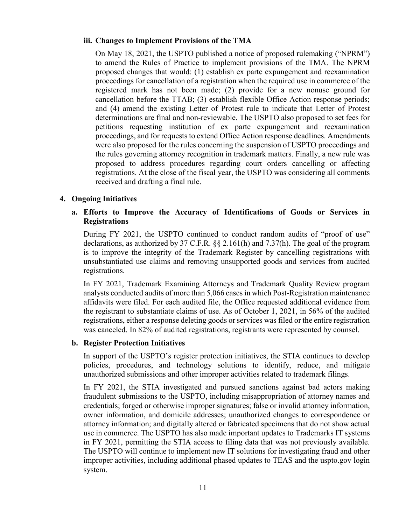#### **iii. Changes to Implement Provisions of the TMA**

On May 18, 2021, the USPTO published a notice of proposed rulemaking ("NPRM") to amend the Rules of Practice to implement provisions of the TMA. The NPRM proposed changes that would: (1) establish ex parte expungement and reexamination proceedings for cancellation of a registration when the required use in commerce of the registered mark has not been made; (2) provide for a new nonuse ground for cancellation before the TTAB; (3) establish flexible Office Action response periods; and (4) amend the existing Letter of Protest rule to indicate that Letter of Protest determinations are final and non-reviewable. The USPTO also proposed to set fees for petitions requesting institution of ex parte expungement and reexamination proceedings, and for requests to extend Office Action response deadlines. Amendments were also proposed for the rules concerning the suspension of USPTO proceedings and the rules governing attorney recognition in trademark matters. Finally, a new rule was proposed to address procedures regarding court orders cancelling or affecting registrations. At the close of the fiscal year, the USPTO was considering all comments received and drafting a final rule.

#### <span id="page-14-0"></span>**4. Ongoing Initiatives**

# **a. Efforts to Improve the Accuracy of Identifications of Goods or Services in Registrations**

During FY 2021, the USPTO continued to conduct random audits of "proof of use" declarations, as authorized by 37 C.F.R. §§ 2.161(h) and 7.37(h). The goal of the program is to improve the integrity of the Trademark Register by cancelling registrations with unsubstantiated use claims and removing unsupported goods and services from audited registrations.

In FY 2021, Trademark Examining Attorneys and Trademark Quality Review program analysts conducted audits of more than 5,066 cases in which Post-Registration maintenance affidavits were filed. For each audited file, the Office requested additional evidence from the registrant to substantiate claims of use. As of October 1, 2021, in 56% of the audited registrations, either a response deleting goods or services was filed or the entire registration was canceled. In 82% of audited registrations, registrants were represented by counsel.

#### **b. Register Protection Initiatives**

In support of the USPTO's register protection initiatives, the STIA continues to develop policies, procedures, and technology solutions to identify, reduce, and mitigate unauthorized submissions and other improper activities related to trademark filings.

In FY 2021, the STIA investigated and pursued sanctions against bad actors making fraudulent submissions to the USPTO, including misappropriation of attorney names and credentials; forged or otherwise improper signatures; false or invalid attorney information, owner information, and domicile addresses; unauthorized changes to correspondence or attorney information; and digitally altered or fabricated specimens that do not show actual use in commerce. The USPTO has also made important updates to Trademarks IT systems in FY 2021, permitting the STIA access to filing data that was not previously available. The USPTO will continue to implement new IT solutions for investigating fraud and other improper activities, including additional phased updates to TEAS and the uspto.gov login system.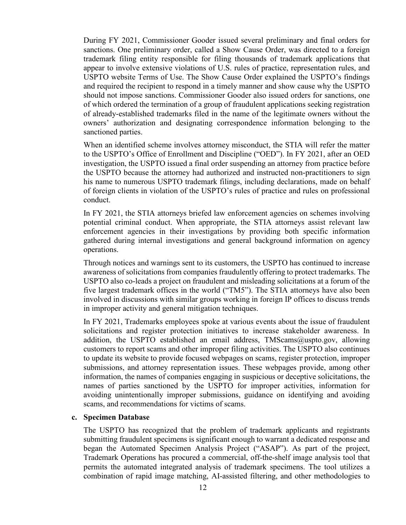During FY 2021, Commissioner Gooder issued several preliminary and final orders for sanctions. One preliminary order, called a Show Cause Order, was directed to a foreign trademark filing entity responsible for filing thousands of trademark applications that appear to involve extensive violations of U.S. rules of practice, representation rules, and USPTO website Terms of Use. The Show Cause Order explained the USPTO's findings and required the recipient to respond in a timely manner and show cause why the USPTO should not impose sanctions. Commissioner Gooder also issued orders for sanctions, one of which ordered the termination of a group of fraudulent applications seeking registration of already-established trademarks filed in the name of the legitimate owners without the owners' authorization and designating correspondence information belonging to the sanctioned parties.

When an identified scheme involves attorney misconduct, the STIA will refer the matter to the USPTO's Office of Enrollment and Discipline ("OED"). In FY 2021, after an OED investigation, the USPTO issued a final order suspending an attorney from practice before the USPTO because the attorney had authorized and instructed non-practitioners to sign his name to numerous USPTO trademark filings, including declarations, made on behalf of foreign clients in violation of the USPTO's rules of practice and rules on professional conduct.

In FY 2021, the STIA attorneys briefed law enforcement agencies on schemes involving potential criminal conduct. When appropriate, the STIA attorneys assist relevant law enforcement agencies in their investigations by providing both specific information gathered during internal investigations and general background information on agency operations.

Through notices and warnings sent to its customers, the USPTO has continued to increase awareness of solicitations from companies fraudulently offering to protect trademarks. The USPTO also co-leads a project on fraudulent and misleading solicitations at a forum of the five largest trademark offices in the world ("TM5"). The STIA attorneys have also been involved in discussions with similar groups working in foreign IP offices to discuss trends in improper activity and general mitigation techniques.

In FY 2021, Trademarks employees spoke at various events about the issue of fraudulent solicitations and register protection initiatives to increase stakeholder awareness. In addition, the USPTO established an email address, TMScams@uspto.gov, allowing customers to report scams and other improper filing activities. The USPTO also continues to update its website to provide focused webpages on scams, register protection, improper submissions, and attorney representation issues. These webpages provide, among other information, the names of companies engaging in suspicious or deceptive solicitations, the names of parties sanctioned by the USPTO for improper activities, information for avoiding unintentionally improper submissions, guidance on identifying and avoiding scams, and recommendations for victims of scams.

#### **c. Specimen Database**

The USPTO has recognized that the problem of trademark applicants and registrants submitting fraudulent specimens is significant enough to warrant a dedicated response and began the Automated Specimen Analysis Project ("ASAP"). As part of the project, Trademark Operations has procured a commercial, off-the-shelf image analysis tool that permits the automated integrated analysis of trademark specimens. The tool utilizes a combination of rapid image matching, AI-assisted filtering, and other methodologies to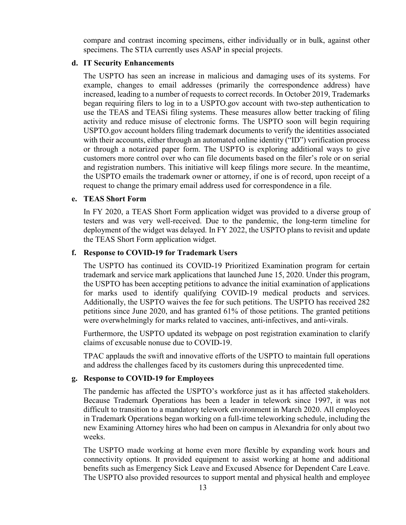compare and contrast incoming specimens, either individually or in bulk, against other specimens. The STIA currently uses ASAP in special projects.

#### **d. IT Security Enhancements**

The USPTO has seen an increase in malicious and damaging uses of its systems. For example, changes to email addresses (primarily the correspondence address) have increased, leading to a number of requests to correct records. In October 2019, Trademarks began requiring filers to log in to a USPTO.gov account with two-step authentication to use the TEAS and TEASi filing systems. These measures allow better tracking of filing activity and reduce misuse of electronic forms. The USPTO soon will begin requiring USPTO.gov account holders filing trademark documents to verify the identities associated with their accounts, either through an automated online identity ("ID") verification process or through a notarized paper form. The USPTO is exploring additional ways to give customers more control over who can file documents based on the filer's role or on serial and registration numbers. This initiative will keep filings more secure. In the meantime, the USPTO emails the trademark owner or attorney, if one is of record, upon receipt of a request to change the primary email address used for correspondence in a file.

#### **e. TEAS Short Form**

In FY 2020, a TEAS Short Form application widget was provided to a diverse group of testers and was very well-received. Due to the pandemic, the long-term timeline for deployment of the widget was delayed. In FY 2022, the USPTO plans to revisit and update the TEAS Short Form application widget.

#### **f. Response to COVID-19 for Trademark Users**

The USPTO has continued its COVID-19 Prioritized Examination program for certain trademark and service mark applications that launched June 15, 2020. Under this program, the USPTO has been accepting petitions to advance the initial examination of applications for marks used to identify qualifying COVID-19 medical products and services. Additionally, the USPTO waives the fee for such petitions. The USPTO has received 282 petitions since June 2020, and has granted 61% of those petitions. The granted petitions were overwhelmingly for marks related to vaccines, anti-infectives, and anti-virals.

Furthermore, the USPTO updated its webpage on post registration examination to clarify claims of excusable nonuse due to COVID-19.

TPAC applauds the swift and innovative efforts of the USPTO to maintain full operations and address the challenges faced by its customers during this unprecedented time.

#### **g. Response to COVID-19 for Employees**

The pandemic has affected the USPTO's workforce just as it has affected stakeholders. Because Trademark Operations has been a leader in telework since 1997, it was not difficult to transition to a mandatory telework environment in March 2020. All employees in Trademark Operations began working on a full-time teleworking schedule, including the new Examining Attorney hires who had been on campus in Alexandria for only about two weeks.

The USPTO made working at home even more flexible by expanding work hours and connectivity options. It provided equipment to assist working at home and additional benefits such as Emergency Sick Leave and Excused Absence for Dependent Care Leave. The USPTO also provided resources to support mental and physical health and employee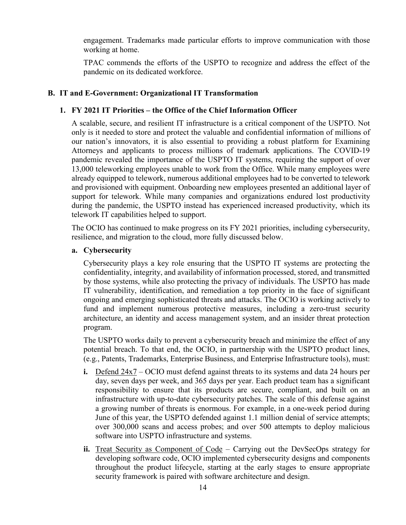engagement. Trademarks made particular efforts to improve communication with those working at home.

TPAC commends the efforts of the USPTO to recognize and address the effect of the pandemic on its dedicated workforce.

# <span id="page-17-1"></span><span id="page-17-0"></span>**B. IT and E-Government: Organizational IT Transformation**

# **1. FY 2021 IT Priorities – the Office of the Chief Information Officer**

A scalable, secure, and resilient IT infrastructure is a critical component of the USPTO. Not only is it needed to store and protect the valuable and confidential information of millions of our nation's innovators, it is also essential to providing a robust platform for Examining Attorneys and applicants to process millions of trademark applications. The COVID-19 pandemic revealed the importance of the USPTO IT systems, requiring the support of over 13,000 teleworking employees unable to work from the Office. While many employees were already equipped to telework, numerous additional employees had to be converted to telework and provisioned with equipment. Onboarding new employees presented an additional layer of support for telework. While many companies and organizations endured lost productivity during the pandemic, the USPTO instead has experienced increased productivity, which its telework IT capabilities helped to support.

The OCIO has continued to make progress on its FY 2021 priorities, including cybersecurity, resilience, and migration to the cloud, more fully discussed below.

# **a. Cybersecurity**

Cybersecurity plays a key role ensuring that the USPTO IT systems are protecting the confidentiality, integrity, and availability of information processed, stored, and transmitted by those systems, while also protecting the privacy of individuals. The USPTO has made IT vulnerability, identification, and remediation a top priority in the face of significant ongoing and emerging sophisticated threats and attacks. The OCIO is working actively to fund and implement numerous protective measures, including a zero-trust security architecture, an identity and access management system, and an insider threat protection program.

The USPTO works daily to prevent a cybersecurity breach and minimize the effect of any potential breach. To that end, the OCIO, in partnership with the USPTO product lines, (e.g., Patents, Trademarks, Enterprise Business, and Enterprise Infrastructure tools), must:

- **i.** Defend 24x7 OCIO must defend against threats to its systems and data 24 hours per day, seven days per week, and 365 days per year. Each product team has a significant responsibility to ensure that its products are secure, compliant, and built on an infrastructure with up-to-date cybersecurity patches. The scale of this defense against a growing number of threats is enormous. For example, in a one-week period during June of this year, the USPTO defended against 1.1 million denial of service attempts; over 300,000 scans and access probes; and over 500 attempts to deploy malicious software into USPTO infrastructure and systems.
- **ii.** Treat Security as Component of Code Carrying out the DevSecOps strategy for developing software code, OCIO implemented cybersecurity designs and components throughout the product lifecycle, starting at the early stages to ensure appropriate security framework is paired with software architecture and design.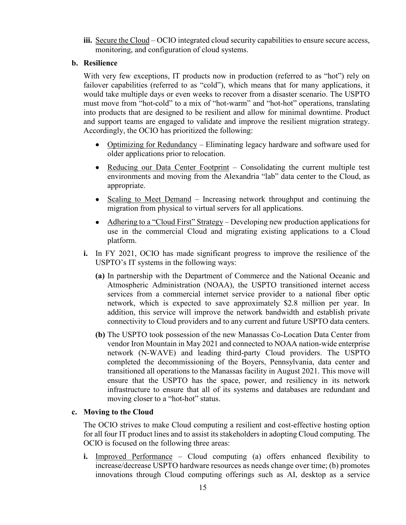**iii.** Secure the Cloud – OCIO integrated cloud security capabilities to ensure secure access, monitoring, and configuration of cloud systems.

# **b. Resilience**

With very few exceptions, IT products now in production (referred to as "hot") rely on failover capabilities (referred to as "cold"), which means that for many applications, it would take multiple days or even weeks to recover from a disaster scenario. The USPTO must move from "hot-cold" to a mix of "hot-warm" and "hot-hot" operations, translating into products that are designed to be resilient and allow for minimal downtime. Product and support teams are engaged to validate and improve the resilient migration strategy. Accordingly, the OCIO has prioritized the following:

- Optimizing for Redundancy Eliminating legacy hardware and software used for older applications prior to relocation.
- Reducing our Data Center Footprint Consolidating the current multiple test environments and moving from the Alexandria "lab" data center to the Cloud, as appropriate.
- Scaling to Meet Demand Increasing network throughput and continuing the migration from physical to virtual servers for all applications.
- Adhering to a "Cloud First" Strategy Developing new production applications for use in the commercial Cloud and migrating existing applications to a Cloud platform.
- **i.** In FY 2021, OCIO has made significant progress to improve the resilience of the USPTO's IT systems in the following ways:
	- **(a)** In partnership with the Department of Commerce and the National Oceanic and Atmospheric Administration (NOAA), the USPTO transitioned internet access services from a commercial internet service provider to a national fiber optic network, which is expected to save approximately \$2.8 million per year. In addition, this service will improve the network bandwidth and establish private connectivity to Cloud providers and to any current and future USPTO data centers.
	- **(b)** The USPTO took possession of the new Manassas Co-Location Data Center from vendor Iron Mountain in May 2021 and connected to NOAA nation-wide enterprise network (N-WAVE) and leading third-party Cloud providers. The USPTO completed the decommissioning of the Boyers, Pennsylvania, data center and transitioned all operations to the Manassas facility in August 2021. This move will ensure that the USPTO has the space, power, and resiliency in its network infrastructure to ensure that all of its systems and databases are redundant and moving closer to a "hot-hot" status.

# **c. Moving to the Cloud**

The OCIO strives to make Cloud computing a resilient and cost-effective hosting option for all four IT product lines and to assist its stakeholders in adopting Cloud computing. The OCIO is focused on the following three areas:

**i.** Improved Performance – Cloud computing (a) offers enhanced flexibility to increase/decrease USPTO hardware resources as needs change over time; (b) promotes innovations through Cloud computing offerings such as AI, desktop as a service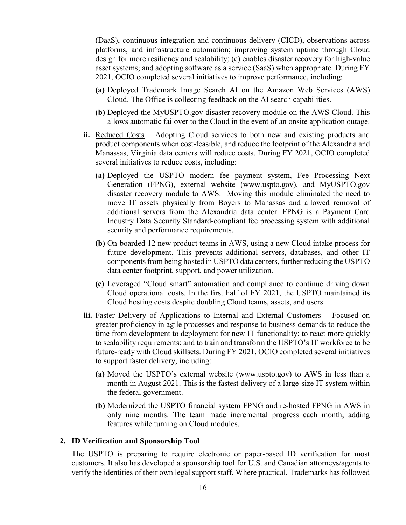(DaaS), continuous integration and continuous delivery (CICD), observations across platforms, and infrastructure automation; improving system uptime through Cloud design for more resiliency and scalability; (c) enables disaster recovery for high-value asset systems; and adopting software as a service (SaaS) when appropriate. During FY 2021, OCIO completed several initiatives to improve performance, including:

- **(a)** Deployed Trademark Image Search AI on the Amazon Web Services (AWS) Cloud. The Office is collecting feedback on the AI search capabilities.
- **(b)** Deployed the MyUSPTO.gov disaster recovery module on the AWS Cloud. This allows automatic failover to the Cloud in the event of an onsite application outage.
- **ii.** Reduced Costs Adopting Cloud services to both new and existing products and product components when cost-feasible, and reduce the footprint of the Alexandria and Manassas, Virginia data centers will reduce costs. During FY 2021, OCIO completed several initiatives to reduce costs, including:
	- **(a)** Deployed the USPTO modern fee payment system, Fee Processing Next Generation (FPNG), external website (www.uspto.gov), and MyUSPTO.gov disaster recovery module to AWS. Moving this module eliminated the need to move IT assets physically from Boyers to Manassas and allowed removal of additional servers from the Alexandria data center. FPNG is a Payment Card Industry Data Security Standard-compliant fee processing system with additional security and performance requirements.
	- **(b)** On-boarded 12 new product teams in AWS, using a new Cloud intake process for future development. This prevents additional servers, databases, and other IT components from being hosted in USPTO data centers, further reducing the USPTO data center footprint, support, and power utilization.
	- **(c)** Leveraged "Cloud smart" automation and compliance to continue driving down Cloud operational costs. In the first half of FY 2021, the USPTO maintained its Cloud hosting costs despite doubling Cloud teams, assets, and users.
- **iii.** Faster Delivery of Applications to Internal and External Customers Focused on greater proficiency in agile processes and response to business demands to reduce the time from development to deployment for new IT functionality; to react more quickly to scalability requirements; and to train and transform the USPTO's IT workforce to be future-ready with Cloud skillsets. During FY 2021, OCIO completed several initiatives to support faster delivery, including:
	- **(a)** Moved the USPTO's external website (www.uspto.gov) to AWS in less than a month in August 2021. This is the fastest delivery of a large-size IT system within the federal government.
	- **(b)** Modernized the USPTO financial system FPNG and re-hosted FPNG in AWS in only nine months. The team made incremental progress each month, adding features while turning on Cloud modules.

#### <span id="page-19-0"></span>**2. ID Verification and Sponsorship Tool**

The USPTO is preparing to require electronic or paper-based ID verification for most customers. It also has developed a sponsorship tool for U.S. and Canadian attorneys/agents to verify the identities of their own legal support staff. Where practical, Trademarks has followed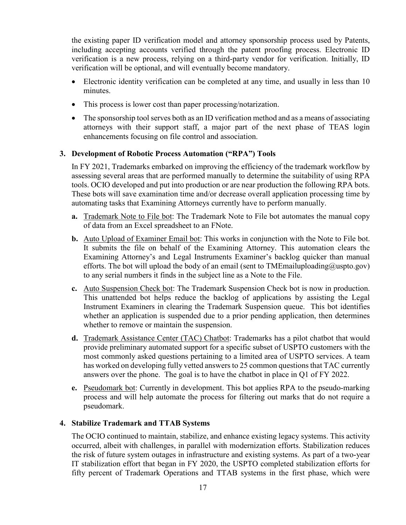the existing paper ID verification model and attorney sponsorship process used by Patents, including accepting accounts verified through the patent proofing process. Electronic ID verification is a new process, relying on a third-party vendor for verification. Initially, ID verification will be optional, and will eventually become mandatory.

- Electronic identity verification can be completed at any time, and usually in less than 10 minutes.
- This process is lower cost than paper processing/notarization.
- The sponsorship tool serves both as an ID verification method and as a means of associating attorneys with their support staff, a major part of the next phase of TEAS login enhancements focusing on file control and association.

# <span id="page-20-0"></span>**3. Development of Robotic Process Automation ("RPA") Tools**

In FY 2021, Trademarks embarked on improving the efficiency of the trademark workflow by assessing several areas that are performed manually to determine the suitability of using RPA tools. OCIO developed and put into production or are near production the following RPA bots. These bots will save examination time and/or decrease overall application processing time by automating tasks that Examining Attorneys currently have to perform manually.

- **a.** Trademark Note to File bot: The Trademark Note to File bot automates the manual copy of data from an Excel spreadsheet to an FNote.
- **b.** Auto Upload of Examiner Email bot: This works in conjunction with the Note to File bot. It submits the file on behalf of the Examining Attorney. This automation clears the Examining Attorney's and Legal Instruments Examiner's backlog quicker than manual efforts. The bot will upload the body of an email (sent to TMEmailuploading@uspto.gov) to any serial numbers it finds in the subject line as a Note to the File.
- **c.** Auto Suspension Check bot: The Trademark Suspension Check bot is now in production. This unattended bot helps reduce the backlog of applications by assisting the Legal Instrument Examiners in clearing the Trademark Suspension queue. This bot identifies whether an application is suspended due to a prior pending application, then determines whether to remove or maintain the suspension.
- **d.** Trademark Assistance Center (TAC) Chatbot: Trademarks has a pilot chatbot that would provide preliminary automated support for a specific subset of USPTO customers with the most commonly asked questions pertaining to a limited area of USPTO services. A team has worked on developing fully vetted answers to 25 common questions that TAC currently answers over the phone. The goal is to have the chatbot in place in Q1 of FY 2022.
- **e.** Pseudomark bot: Currently in development. This bot applies RPA to the pseudo-marking process and will help automate the process for filtering out marks that do not require a pseudomark.

# <span id="page-20-1"></span>**4. Stabilize Trademark and TTAB Systems**

The OCIO continued to maintain, stabilize, and enhance existing legacy systems. This activity occurred, albeit with challenges, in parallel with modernization efforts. Stabilization reduces the risk of future system outages in infrastructure and existing systems. As part of a two-year IT stabilization effort that began in FY 2020, the USPTO completed stabilization efforts for fifty percent of Trademark Operations and TTAB systems in the first phase, which were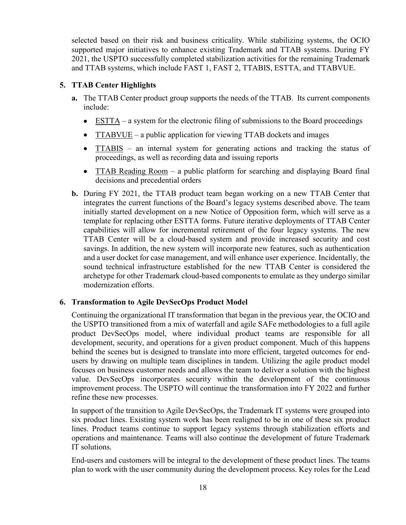selected based on their risk and business criticality. While stabilizing systems, the OCIO supported major initiatives to enhance existing Trademark and TTAB systems. During FY 2021, the USPTO successfully completed stabilization activities for the remaining Trademark and TTAB systems, which include FAST 1, FAST 2, TTABIS, ESTTA, and TTABVUE.

# <span id="page-21-0"></span>**5. TTAB Center Highlights**

- **a.** The TTAB Center product group supports the needs of the TTAB. Its current components include:
	- $\bullet$  ESTTA a system for the electronic filing of submissions to the Board proceedings
	- $TTABVUE a public application for viewing TTAB dockets and images$
	- TTABIS an internal system for generating actions and tracking the status of proceedings, as well as recording data and issuing reports
	- TTAB Reading Room a public platform for searching and displaying Board final decisions and precedential orders
- **b.** During FY 2021, the TTAB product team began working on a new TTAB Center that integrates the current functions of the Board's legacy systems described above. The team initially started development on a new Notice of Opposition form, which will serve as a template for replacing other ESTTA forms. Future iterative deployments of TTAB Center capabilities will allow for incremental retirement of the four legacy systems. The new TTAB Center will be a cloud-based system and provide increased security and cost savings. In addition, the new system will incorporate new features, such as authentication and a user docket for case management, and will enhance user experience. Incidentally, the sound technical infrastructure established for the new TTAB Center is considered the archetype for other Trademark cloud-based components to emulate as they undergo similar modernization efforts.

# <span id="page-21-1"></span>**6. Transformation to Agile DevSecOps Product Model**

Continuing the organizational IT transformation that began in the previous year, the OCIO and the USPTO transitioned from a mix of waterfall and agile SAFe methodologies to a full agile product DevSecOps model, where individual product teams are responsible for all development, security, and operations for a given product component. Much of this happens behind the scenes but is designed to translate into more efficient, targeted outcomes for endusers by drawing on multiple team disciplines in tandem. Utilizing the agile product model focuses on business customer needs and allows the team to deliver a solution with the highest value. DevSecOps incorporates security within the development of the continuous improvement process. The USPTO will continue the transformation into FY 2022 and further refine these new processes.

In support of the transition to Agile DevSecOps, the Trademark IT systems were grouped into six product lines. Existing system work has been realigned to be in one of these six product lines. Product teams continue to support legacy systems through stabilization efforts and operations and maintenance. Teams will also continue the development of future Trademark IT solutions.

End-users and customers will be integral to the development of these product lines. The teams plan to work with the user community during the development process. Key roles for the Lead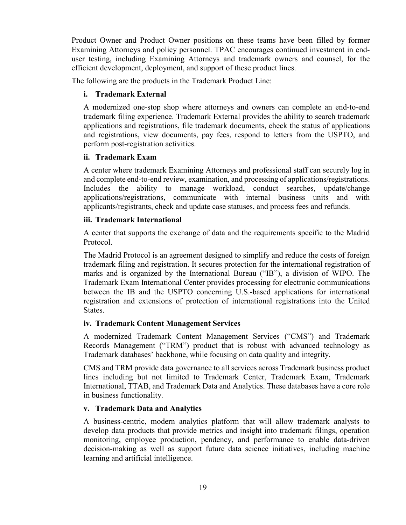Product Owner and Product Owner positions on these teams have been filled by former Examining Attorneys and policy personnel. TPAC encourages continued investment in enduser testing, including Examining Attorneys and trademark owners and counsel, for the efficient development, deployment, and support of these product lines.

The following are the products in the Trademark Product Line:

# **i. Trademark External**

A modernized one-stop shop where attorneys and owners can complete an end-to-end trademark filing experience. Trademark External provides the ability to search trademark applications and registrations, file trademark documents, check the status of applications and registrations, view documents, pay fees, respond to letters from the USPTO, and perform post-registration activities.

# **ii. Trademark Exam**

A center where trademark Examining Attorneys and professional staff can securely log in and complete end-to-end review, examination, and processing of applications/registrations. Includes the ability to manage workload, conduct searches, update/change applications/registrations, communicate with internal business units and with applicants/registrants, check and update case statuses, and process fees and refunds.

# **iii. Trademark International**

A center that supports the exchange of data and the requirements specific to the Madrid Protocol.

The Madrid Protocol is an agreement designed to simplify and reduce the costs of foreign trademark filing and registration. It secures protection for the international registration of marks and is organized by the International Bureau ("IB"), a division of WIPO. The Trademark Exam International Center provides processing for electronic communications between the IB and the USPTO concerning U.S.-based applications for international registration and extensions of protection of international registrations into the United States.

# **iv. Trademark Content Management Services**

A modernized Trademark Content Management Services ("CMS") and Trademark Records Management ("TRM") product that is robust with advanced technology as Trademark databases' backbone, while focusing on data quality and integrity.

CMS and TRM provide data governance to all services across Trademark business product lines including but not limited to Trademark Center, Trademark Exam, Trademark International, TTAB, and Trademark Data and Analytics. These databases have a core role in business functionality.

# **v. Trademark Data and Analytics**

A business-centric, modern analytics platform that will allow trademark analysts to develop data products that provide metrics and insight into trademark filings, operation monitoring, employee production, pendency, and performance to enable data-driven decision-making as well as support future data science initiatives, including machine learning and artificial intelligence.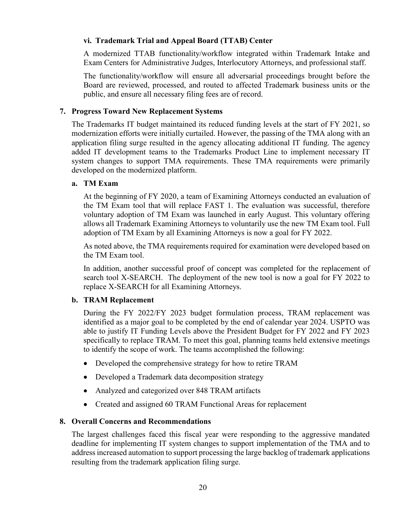# **vi. Trademark Trial and Appeal Board (TTAB) Center**

A modernized TTAB functionality/workflow integrated within Trademark Intake and Exam Centers for Administrative Judges, Interlocutory Attorneys, and professional staff.

The functionality/workflow will ensure all adversarial proceedings brought before the Board are reviewed, processed, and routed to affected Trademark business units or the public, and ensure all necessary filing fees are of record.

# <span id="page-23-0"></span>**7. Progress Toward New Replacement Systems**

The Trademarks IT budget maintained its reduced funding levels at the start of FY 2021, so modernization efforts were initially curtailed. However, the passing of the TMA along with an application filing surge resulted in the agency allocating additional IT funding. The agency added IT development teams to the Trademarks Product Line to implement necessary IT system changes to support TMA requirements. These TMA requirements were primarily developed on the modernized platform.

# **a. TM Exam**

At the beginning of FY 2020, a team of Examining Attorneys conducted an evaluation of the TM Exam tool that will replace FAST 1. The evaluation was successful, therefore voluntary adoption of TM Exam was launched in early August. This voluntary offering allows all Trademark Examining Attorneys to voluntarily use the new TM Exam tool. Full adoption of TM Exam by all Examining Attorneys is now a goal for FY 2022.

As noted above, the TMA requirements required for examination were developed based on the TM Exam tool.

In addition, another successful proof of concept was completed for the replacement of search tool X-SEARCH. The deployment of the new tool is now a goal for FY 2022 to replace X-SEARCH for all Examining Attorneys.

# **b. TRAM Replacement**

During the FY 2022/FY 2023 budget formulation process, TRAM replacement was identified as a major goal to be completed by the end of calendar year 2024. USPTO was able to justify IT Funding Levels above the President Budget for FY 2022 and FY 2023 specifically to replace TRAM. To meet this goal, planning teams held extensive meetings to identify the scope of work. The teams accomplished the following:

- Developed the comprehensive strategy for how to retire TRAM
- Developed a Trademark data decomposition strategy
- Analyzed and categorized over 848 TRAM artifacts
- Created and assigned 60 TRAM Functional Areas for replacement

# <span id="page-23-1"></span>**8. Overall Concerns and Recommendations**

The largest challenges faced this fiscal year were responding to the aggressive mandated deadline for implementing IT system changes to support implementation of the TMA and to address increased automation to support processing the large backlog of trademark applications resulting from the trademark application filing surge.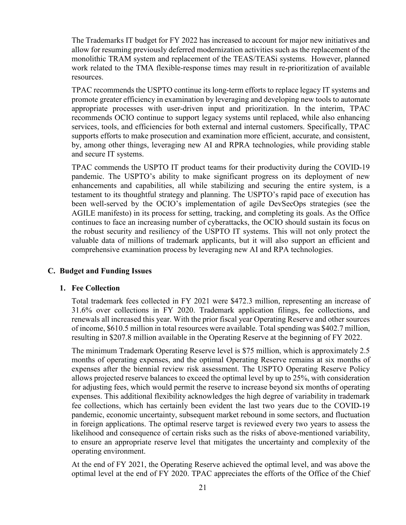The Trademarks IT budget for FY 2022 has increased to account for major new initiatives and allow for resuming previously deferred modernization activities such as the replacement of the monolithic TRAM system and replacement of the TEAS/TEASi systems. However, planned work related to the TMA flexible-response times may result in re-prioritization of available resources.

TPAC recommends the USPTO continue its long-term efforts to replace legacy IT systems and promote greater efficiency in examination by leveraging and developing new tools to automate appropriate processes with user-driven input and prioritization. In the interim, TPAC recommends OCIO continue to support legacy systems until replaced, while also enhancing services, tools, and efficiencies for both external and internal customers. Specifically, TPAC supports efforts to make prosecution and examination more efficient, accurate, and consistent, by, among other things, leveraging new AI and RPRA technologies, while providing stable and secure IT systems.

TPAC commends the USPTO IT product teams for their productivity during the COVID-19 pandemic. The USPTO's ability to make significant progress on its deployment of new enhancements and capabilities, all while stabilizing and securing the entire system, is a testament to its thoughtful strategy and planning. The USPTO's rapid pace of execution has been well-served by the OCIO's implementation of agile DevSecOps strategies (see the AGILE manifesto) in its process for setting, tracking, and completing its goals. As the Office continues to face an increasing number of cyberattacks, the OCIO should sustain its focus on the robust security and resiliency of the USPTO IT systems. This will not only protect the valuable data of millions of trademark applicants, but it will also support an efficient and comprehensive examination process by leveraging new AI and RPA technologies.

#### <span id="page-24-1"></span><span id="page-24-0"></span>**C. Budget and Funding Issues**

#### **1. Fee Collection**

Total trademark fees collected in FY 2021 were \$472.3 million, representing an increase of 31.6% over collections in FY 2020. Trademark application filings, fee collections, and renewals all increased this year. With the prior fiscal year Operating Reserve and other sources of income, \$610.5 million in total resources were available. Total spending was \$402.7 million, resulting in \$207.8 million available in the Operating Reserve at the beginning of FY 2022.

The minimum Trademark Operating Reserve level is \$75 million, which is approximately 2.5 months of operating expenses, and the optimal Operating Reserve remains at six months of expenses after the biennial review risk assessment. The USPTO Operating Reserve Policy allows projected reserve balances to exceed the optimal level by up to 25%, with consideration for adjusting fees, which would permit the reserve to increase beyond six months of operating expenses. This additional flexibility acknowledges the high degree of variability in trademark fee collections, which has certainly been evident the last two years due to the COVID-19 pandemic, economic uncertainty, subsequent market rebound in some sectors, and fluctuation in foreign applications. The optimal reserve target is reviewed every two years to assess the likelihood and consequence of certain risks such as the risks of above-mentioned variability, to ensure an appropriate reserve level that mitigates the uncertainty and complexity of the operating environment.

At the end of FY 2021, the Operating Reserve achieved the optimal level, and was above the optimal level at the end of FY 2020. TPAC appreciates the efforts of the Office of the Chief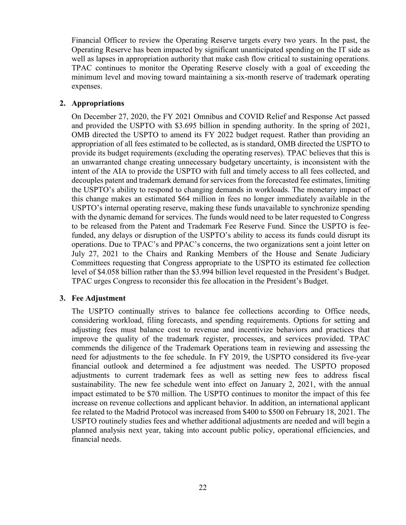Financial Officer to review the Operating Reserve targets every two years. In the past, the Operating Reserve has been impacted by significant unanticipated spending on the IT side as well as lapses in appropriation authority that make cash flow critical to sustaining operations. TPAC continues to monitor the Operating Reserve closely with a goal of exceeding the minimum level and moving toward maintaining a six-month reserve of trademark operating expenses.

# <span id="page-25-0"></span>**2. Appropriations**

On December 27, 2020, the FY 2021 Omnibus and COVID Relief and Response Act passed and provided the USPTO with \$3.695 billion in spending authority. In the spring of 2021, OMB directed the USPTO to amend its FY 2022 budget request. Rather than providing an appropriation of all fees estimated to be collected, as is standard, OMB directed the USPTO to provide its budget requirements (excluding the operating reserves). TPAC believes that this is an unwarranted change creating unnecessary budgetary uncertainty, is inconsistent with the intent of the AIA to provide the USPTO with full and timely access to all fees collected, and decouples patent and trademark demand for services from the forecasted fee estimates, limiting the USPTO's ability to respond to changing demands in workloads. The monetary impact of this change makes an estimated \$64 million in fees no longer immediately available in the USPTO's internal operating reserve, making these funds unavailable to synchronize spending with the dynamic demand for services. The funds would need to be later requested to Congress to be released from the Patent and Trademark Fee Reserve Fund. Since the USPTO is feefunded, any delays or disruption of the USPTO's ability to access its funds could disrupt its operations. Due to TPAC's and PPAC's concerns, the two organizations sent a joint letter on July 27, 2021 to the Chairs and Ranking Members of the House and Senate Judiciary Committees requesting that Congress appropriate to the USPTO its estimated fee collection level of \$4.058 billion rather than the \$3.994 billion level requested in the President's Budget. TPAC urges Congress to reconsider this fee allocation in the President's Budget.

# <span id="page-25-1"></span>**3. Fee Adjustment**

The USPTO continually strives to balance fee collections according to Office needs, considering workload, filing forecasts, and spending requirements. Options for setting and adjusting fees must balance cost to revenue and incentivize behaviors and practices that improve the quality of the trademark register, processes, and services provided. TPAC commends the diligence of the Trademark Operations team in reviewing and assessing the need for adjustments to the fee schedule. In FY 2019, the USPTO considered its five-year financial outlook and determined a fee adjustment was needed. The USPTO proposed adjustments to current trademark fees as well as setting new fees to address fiscal sustainability. The new fee schedule went into effect on January 2, 2021, with the annual impact estimated to be \$70 million. The USPTO continues to monitor the impact of this fee increase on revenue collections and applicant behavior. In addition, an international applicant fee related to the Madrid Protocol was increased from \$400 to \$500 on February 18, 2021. The USPTO routinely studies fees and whether additional adjustments are needed and will begin a planned analysis next year, taking into account public policy, operational efficiencies, and financial needs.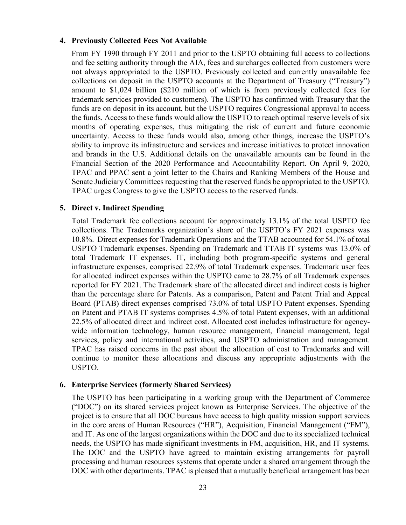#### <span id="page-26-0"></span>**4. Previously Collected Fees Not Available**

From FY 1990 through FY 2011 and prior to the USPTO obtaining full access to collections and fee setting authority through the AIA, fees and surcharges collected from customers were not always appropriated to the USPTO. Previously collected and currently unavailable fee collections on deposit in the USPTO accounts at the Department of Treasury ("Treasury") amount to \$1,024 billion (\$210 million of which is from previously collected fees for trademark services provided to customers). The USPTO has confirmed with Treasury that the funds are on deposit in its account, but the USPTO requires Congressional approval to access the funds. Access to these funds would allow the USPTO to reach optimal reserve levels of six months of operating expenses, thus mitigating the risk of current and future economic uncertainty. Access to these funds would also, among other things, increase the USPTO's ability to improve its infrastructure and services and increase initiatives to protect innovation and brands in the U.S. Additional details on the unavailable amounts can be found in the Financial Section of the 2020 Performance and Accountability Report. On April 9, 2020, TPAC and PPAC sent a joint letter to the Chairs and Ranking Members of the House and Senate Judiciary Committees requesting that the reserved funds be appropriated to the USPTO. TPAC urges Congress to give the USPTO access to the reserved funds.

# <span id="page-26-1"></span>**5. Direct v. Indirect Spending**

Total Trademark fee collections account for approximately 13.1% of the total USPTO fee collections. The Trademarks organization's share of the USPTO's FY 2021 expenses was 10.8%. Direct expenses for Trademark Operations and the TTAB accounted for 54.1% of total USPTO Trademark expenses. Spending on Trademark and TTAB IT systems was 13.0% of total Trademark IT expenses. IT, including both program-specific systems and general infrastructure expenses, comprised 22.9% of total Trademark expenses. Trademark user fees for allocated indirect expenses within the USPTO came to 28.7% of all Trademark expenses reported for FY 2021. The Trademark share of the allocated direct and indirect costs is higher than the percentage share for Patents. As a comparison, Patent and Patent Trial and Appeal Board (PTAB) direct expenses comprised 73.0% of total USPTO Patent expenses. Spending on Patent and PTAB IT systems comprises 4.5% of total Patent expenses, with an additional 22.5% of allocated direct and indirect cost. Allocated cost includes infrastructure for agencywide information technology, human resource management, financial management, legal services, policy and international activities, and USPTO administration and management. TPAC has raised concerns in the past about the allocation of cost to Trademarks and will continue to monitor these allocations and discuss any appropriate adjustments with the USPTO.

# <span id="page-26-2"></span>**6. Enterprise Services (formerly Shared Services)**

The USPTO has been participating in a working group with the Department of Commerce ("DOC") on its shared services project known as Enterprise Services. The objective of the project is to ensure that all DOC bureaus have access to high quality mission support services in the core areas of Human Resources ("HR"), Acquisition, Financial Management ("FM"), and IT. As one of the largest organizations within the DOC and due to its specialized technical needs, the USPTO has made significant investments in FM, acquisition, HR, and IT systems. The DOC and the USPTO have agreed to maintain existing arrangements for payroll processing and human resources systems that operate under a shared arrangement through the DOC with other departments. TPAC is pleased that a mutually beneficial arrangement has been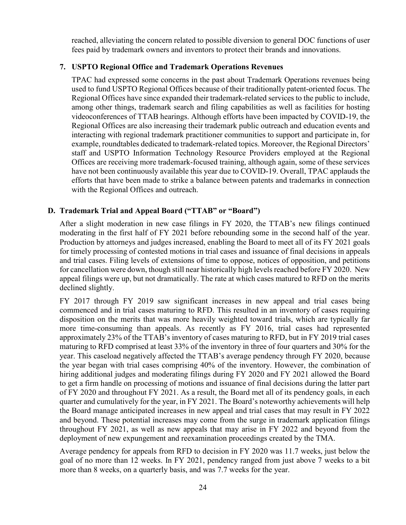reached, alleviating the concern related to possible diversion to general DOC functions of user fees paid by trademark owners and inventors to protect their brands and innovations.

# <span id="page-27-0"></span>**7. USPTO Regional Office and Trademark Operations Revenues**

TPAC had expressed some concerns in the past about Trademark Operations revenues being used to fund USPTO Regional Offices because of their traditionally patent-oriented focus. The Regional Offices have since expanded their trademark-related services to the public to include, among other things, trademark search and filing capabilities as well as facilities for hosting videoconferences of TTAB hearings. Although efforts have been impacted by COVID-19, the Regional Offices are also increasing their trademark public outreach and education events and interacting with regional trademark practitioner communities to support and participate in, for example, roundtables dedicated to trademark-related topics. Moreover, the Regional Directors' staff and USPTO Information Technology Resource Providers employed at the Regional Offices are receiving more trademark-focused training, although again, some of these services have not been continuously available this year due to COVID-19. Overall, TPAC applauds the efforts that have been made to strike a balance between patents and trademarks in connection with the Regional Offices and outreach.

# <span id="page-27-1"></span>**D. Trademark Trial and Appeal Board ("TTAB" or "Board")**

After a slight moderation in new case filings in FY 2020, the TTAB's new filings continued moderating in the first half of FY 2021 before rebounding some in the second half of the year. Production by attorneys and judges increased, enabling the Board to meet all of its FY 2021 goals for timely processing of contested motions in trial cases and issuance of final decisions in appeals and trial cases. Filing levels of extensions of time to oppose, notices of opposition, and petitions for cancellation were down, though still near historically high levels reached before FY 2020. New appeal filings were up, but not dramatically. The rate at which cases matured to RFD on the merits declined slightly.

FY 2017 through FY 2019 saw significant increases in new appeal and trial cases being commenced and in trial cases maturing to RFD. This resulted in an inventory of cases requiring disposition on the merits that was more heavily weighted toward trials, which are typically far more time-consuming than appeals. As recently as FY 2016, trial cases had represented approximately 23% of the TTAB's inventory of cases maturing to RFD, but in FY 2019 trial cases maturing to RFD comprised at least 33% of the inventory in three of four quarters and 30% for the year. This caseload negatively affected the TTAB's average pendency through FY 2020, because the year began with trial cases comprising 40% of the inventory. However, the combination of hiring additional judges and moderating filings during FY 2020 and FY 2021 allowed the Board to get a firm handle on processing of motions and issuance of final decisions during the latter part of FY 2020 and throughout FY 2021. As a result, the Board met all of its pendency goals, in each quarter and cumulatively for the year, in FY 2021. The Board's noteworthy achievements will help the Board manage anticipated increases in new appeal and trial cases that may result in FY 2022 and beyond. These potential increases may come from the surge in trademark application filings throughout FY 2021, as well as new appeals that may arise in FY 2022 and beyond from the deployment of new expungement and reexamination proceedings created by the TMA.

Average pendency for appeals from RFD to decision in FY 2020 was 11.7 weeks, just below the goal of no more than 12 weeks. In FY 2021, pendency ranged from just above 7 weeks to a bit more than 8 weeks, on a quarterly basis, and was 7.7 weeks for the year.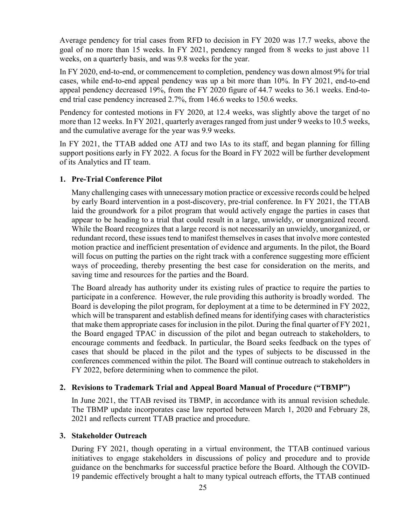Average pendency for trial cases from RFD to decision in FY 2020 was 17.7 weeks, above the goal of no more than 15 weeks. In FY 2021, pendency ranged from 8 weeks to just above 11 weeks, on a quarterly basis, and was 9.8 weeks for the year.

In FY 2020, end-to-end, or commencement to completion, pendency was down almost 9% for trial cases, while end-to-end appeal pendency was up a bit more than 10%. In FY 2021, end-to-end appeal pendency decreased 19%, from the FY 2020 figure of 44.7 weeks to 36.1 weeks. End-toend trial case pendency increased 2.7%, from 146.6 weeks to 150.6 weeks.

Pendency for contested motions in FY 2020, at 12.4 weeks, was slightly above the target of no more than 12 weeks. In FY 2021, quarterly averages ranged from just under 9 weeks to 10.5 weeks, and the cumulative average for the year was 9.9 weeks.

In FY 2021, the TTAB added one ATJ and two IAs to its staff, and began planning for filling support positions early in FY 2022. A focus for the Board in FY 2022 will be further development of its Analytics and IT team.

# <span id="page-28-0"></span>**1. Pre-Trial Conference Pilot**

Many challenging cases with unnecessary motion practice or excessive records could be helped by early Board intervention in a post-discovery, pre-trial conference. In FY 2021, the TTAB laid the groundwork for a pilot program that would actively engage the parties in cases that appear to be heading to a trial that could result in a large, unwieldy, or unorganized record. While the Board recognizes that a large record is not necessarily an unwieldy, unorganized, or redundant record, these issues tend to manifest themselves in cases that involve more contested motion practice and inefficient presentation of evidence and arguments. In the pilot, the Board will focus on putting the parties on the right track with a conference suggesting more efficient ways of proceeding, thereby presenting the best case for consideration on the merits, and saving time and resources for the parties and the Board.

The Board already has authority under its existing rules of practice to require the parties to participate in a conference. However, the rule providing this authority is broadly worded. The Board is developing the pilot program, for deployment at a time to be determined in FY 2022, which will be transparent and establish defined means for identifying cases with characteristics that make them appropriate cases for inclusion in the pilot. During the final quarter of FY 2021, the Board engaged TPAC in discussion of the pilot and began outreach to stakeholders, to encourage comments and feedback. In particular, the Board seeks feedback on the types of cases that should be placed in the pilot and the types of subjects to be discussed in the conferences commenced within the pilot. The Board will continue outreach to stakeholders in FY 2022, before determining when to commence the pilot.

#### <span id="page-28-1"></span>**2. Revisions to Trademark Trial and Appeal Board Manual of Procedure ("TBMP")**

In June 2021, the TTAB revised its TBMP, in accordance with its annual revision schedule. The TBMP update incorporates case law reported between March 1, 2020 and February 28, 2021 and reflects current TTAB practice and procedure.

#### <span id="page-28-2"></span>**3. Stakeholder Outreach**

During FY 2021, though operating in a virtual environment, the TTAB continued various initiatives to engage stakeholders in discussions of policy and procedure and to provide guidance on the benchmarks for successful practice before the Board. Although the COVID-19 pandemic effectively brought a halt to many typical outreach efforts, the TTAB continued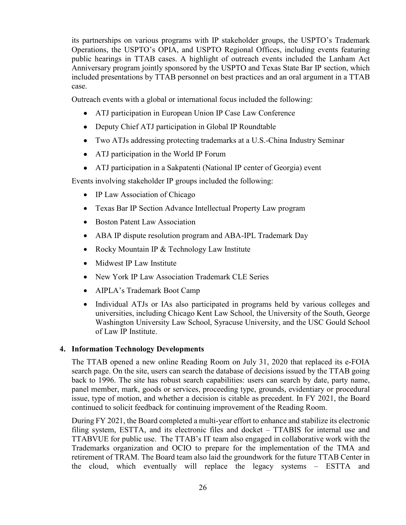its partnerships on various programs with IP stakeholder groups, the USPTO's Trademark Operations, the USPTO's OPIA, and USPTO Regional Offices, including events featuring public hearings in TTAB cases. A highlight of outreach events included the Lanham Act Anniversary program jointly sponsored by the USPTO and Texas State Bar IP section, which included presentations by TTAB personnel on best practices and an oral argument in a TTAB case.

Outreach events with a global or international focus included the following:

- ATJ participation in European Union IP Case Law Conference
- Deputy Chief ATJ participation in Global IP Roundtable
- Two ATJs addressing protecting trademarks at a U.S.-China Industry Seminar
- ATJ participation in the World IP Forum
- ATJ participation in a Sakpatenti (National IP center of Georgia) event

Events involving stakeholder IP groups included the following:

- IP Law Association of Chicago
- Texas Bar IP Section Advance Intellectual Property Law program
- Boston Patent Law Association
- ABA IP dispute resolution program and ABA-IPL Trademark Day
- Rocky Mountain IP & Technology Law Institute
- Midwest IP Law Institute
- New York IP Law Association Trademark CLE Series
- AIPLA's Trademark Boot Camp
- Individual ATJs or IAs also participated in programs held by various colleges and universities, including Chicago Kent Law School, the University of the South, George Washington University Law School, Syracuse University, and the USC Gould School of Law IP Institute.

# <span id="page-29-0"></span>**4. Information Technology Developments**

The TTAB opened a new online Reading Room on July 31, 2020 that replaced its e-FOIA search page. On the site, users can search the database of decisions issued by the TTAB going back to 1996. The site has robust search capabilities: users can search by date, party name, panel member, mark, goods or services, proceeding type, grounds, evidentiary or procedural issue, type of motion, and whether a decision is citable as precedent. In FY 2021, the Board continued to solicit feedback for continuing improvement of the Reading Room.

During FY 2021, the Board completed a multi-year effort to enhance and stabilize its electronic filing system, ESTTA, and its electronic files and docket – TTABIS for internal use and TTABVUE for public use. The TTAB's IT team also engaged in collaborative work with the Trademarks organization and OCIO to prepare for the implementation of the TMA and retirement of TRAM. The Board team also laid the groundwork for the future TTAB Center in the cloud, which eventually will replace the legacy systems – ESTTA and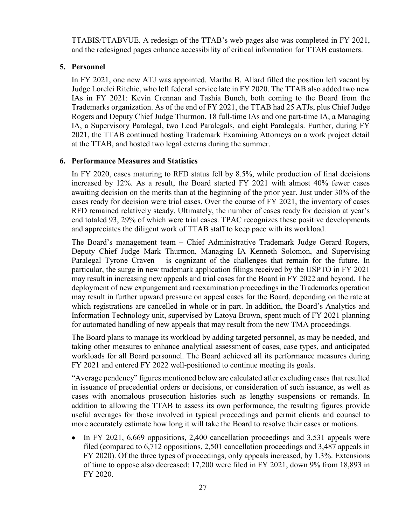TTABIS/TTABVUE. A redesign of the TTAB's web pages also was completed in FY 2021, and the redesigned pages enhance accessibility of critical information for TTAB customers.

# <span id="page-30-0"></span>**5. Personnel**

In FY 2021, one new ATJ was appointed. Martha B. Allard filled the position left vacant by Judge Lorelei Ritchie, who left federal service late in FY 2020. The TTAB also added two new IAs in FY 2021: Kevin Crennan and Tashia Bunch, both coming to the Board from the Trademarks organization. As of the end of FY 2021, the TTAB had 25 ATJs, plus Chief Judge Rogers and Deputy Chief Judge Thurmon, 18 full-time IAs and one part-time IA, a Managing IA, a Supervisory Paralegal, two Lead Paralegals, and eight Paralegals. Further, during FY 2021, the TTAB continued hosting Trademark Examining Attorneys on a work project detail at the TTAB, and hosted two legal externs during the summer.

# <span id="page-30-1"></span>**6. Performance Measures and Statistics**

In FY 2020, cases maturing to RFD status fell by 8.5%, while production of final decisions increased by 12%. As a result, the Board started FY 2021 with almost 40% fewer cases awaiting decision on the merits than at the beginning of the prior year. Just under 30% of the cases ready for decision were trial cases. Over the course of FY 2021, the inventory of cases RFD remained relatively steady. Ultimately, the number of cases ready for decision at year's end totaled 93, 29% of which were trial cases. TPAC recognizes these positive developments and appreciates the diligent work of TTAB staff to keep pace with its workload.

The Board's management team – Chief Administrative Trademark Judge Gerard Rogers, Deputy Chief Judge Mark Thurmon, Managing IA Kenneth Solomon, and Supervising Paralegal Tyrone Craven – is cognizant of the challenges that remain for the future. In particular, the surge in new trademark application filings received by the USPTO in FY 2021 may result in increasing new appeals and trial cases for the Board in FY 2022 and beyond. The deployment of new expungement and reexamination proceedings in the Trademarks operation may result in further upward pressure on appeal cases for the Board, depending on the rate at which registrations are cancelled in whole or in part. In addition, the Board's Analytics and Information Technology unit, supervised by Latoya Brown, spent much of FY 2021 planning for automated handling of new appeals that may result from the new TMA proceedings.

The Board plans to manage its workload by adding targeted personnel, as may be needed, and taking other measures to enhance analytical assessment of cases, case types, and anticipated workloads for all Board personnel. The Board achieved all its performance measures during FY 2021 and entered FY 2022 well-positioned to continue meeting its goals.

"Average pendency" figures mentioned below are calculated after excluding cases that resulted in issuance of precedential orders or decisions, or consideration of such issuance, as well as cases with anomalous prosecution histories such as lengthy suspensions or remands. In addition to allowing the TTAB to assess its own performance, the resulting figures provide useful averages for those involved in typical proceedings and permit clients and counsel to more accurately estimate how long it will take the Board to resolve their cases or motions.

• In FY 2021, 6,669 oppositions, 2,400 cancellation proceedings and 3,531 appeals were filed (compared to 6,712 oppositions, 2,501 cancellation proceedings and 3,487 appeals in FY 2020). Of the three types of proceedings, only appeals increased, by 1.3%. Extensions of time to oppose also decreased: 17,200 were filed in FY 2021, down 9% from 18,893 in FY 2020.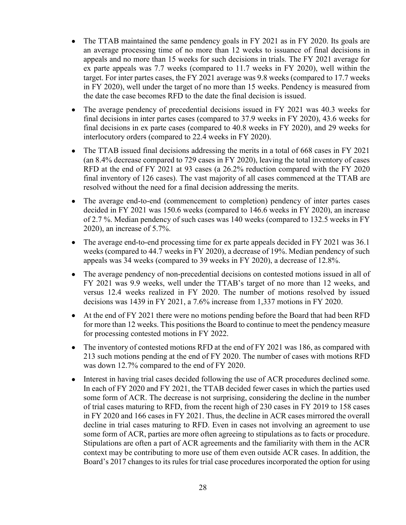- The TTAB maintained the same pendency goals in FY 2021 as in FY 2020. Its goals are an average processing time of no more than 12 weeks to issuance of final decisions in appeals and no more than 15 weeks for such decisions in trials. The FY 2021 average for ex parte appeals was 7.7 weeks (compared to 11.7 weeks in FY 2020), well within the target. For inter partes cases, the FY 2021 average was 9.8 weeks (compared to 17.7 weeks in FY 2020), well under the target of no more than 15 weeks. Pendency is measured from the date the case becomes RFD to the date the final decision is issued.
- The average pendency of precedential decisions issued in FY 2021 was 40.3 weeks for final decisions in inter partes cases (compared to 37.9 weeks in FY 2020), 43.6 weeks for final decisions in ex parte cases (compared to 40.8 weeks in FY 2020), and 29 weeks for interlocutory orders (compared to 22.4 weeks in FY 2020).
- The TTAB issued final decisions addressing the merits in a total of 668 cases in FY 2021 (an 8.4% decrease compared to 729 cases in FY 2020), leaving the total inventory of cases RFD at the end of FY 2021 at 93 cases (a 26.2% reduction compared with the FY 2020 final inventory of 126 cases). The vast majority of all cases commenced at the TTAB are resolved without the need for a final decision addressing the merits.
- The average end-to-end (commencement to completion) pendency of inter partes cases decided in FY 2021 was 150.6 weeks (compared to 146.6 weeks in FY 2020), an increase of 2.7 %. Median pendency of such cases was 140 weeks (compared to 132.5 weeks in FY 2020), an increase of 5.7%.
- The average end-to-end processing time for ex parte appeals decided in FY 2021 was 36.1 weeks (compared to 44.7 weeks in FY 2020), a decrease of 19%. Median pendency of such appeals was 34 weeks (compared to 39 weeks in FY 2020), a decrease of 12.8%.
- The average pendency of non-precedential decisions on contested motions issued in all of FY 2021 was 9.9 weeks, well under the TTAB's target of no more than 12 weeks, and versus 12.4 weeks realized in FY 2020. The number of motions resolved by issued decisions was 1439 in FY 2021, a 7.6% increase from 1,337 motions in FY 2020.
- At the end of FY 2021 there were no motions pending before the Board that had been RFD for more than 12 weeks. This positions the Board to continue to meet the pendency measure for processing contested motions in FY 2022.
- The inventory of contested motions RFD at the end of FY 2021 was 186, as compared with 213 such motions pending at the end of FY 2020. The number of cases with motions RFD was down 12.7% compared to the end of FY 2020.
- Interest in having trial cases decided following the use of ACR procedures declined some. In each of FY 2020 and FY 2021, the TTAB decided fewer cases in which the parties used some form of ACR. The decrease is not surprising, considering the decline in the number of trial cases maturing to RFD, from the recent high of 230 cases in FY 2019 to 158 cases in FY 2020 and 166 cases in FY 2021. Thus, the decline in ACR cases mirrored the overall decline in trial cases maturing to RFD. Even in cases not involving an agreement to use some form of ACR, parties are more often agreeing to stipulations as to facts or procedure. Stipulations are often a part of ACR agreements and the familiarity with them in the ACR context may be contributing to more use of them even outside ACR cases. In addition, the Board's 2017 changes to its rules for trial case procedures incorporated the option for using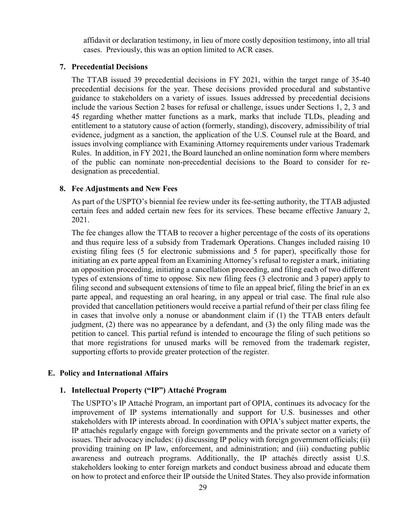affidavit or declaration testimony, in lieu of more costly deposition testimony, into all trial cases. Previously, this was an option limited to ACR cases.

#### <span id="page-32-0"></span>**7. Precedential Decisions**

The TTAB issued 39 precedential decisions in FY 2021, within the target range of 35-40 precedential decisions for the year. These decisions provided procedural and substantive guidance to stakeholders on a variety of issues. Issues addressed by precedential decisions include the various Section 2 bases for refusal or challenge, issues under Sections 1, 2, 3 and 45 regarding whether matter functions as a mark, marks that include TLDs, pleading and entitlement to a statutory cause of action (formerly, standing), discovery, admissibility of trial evidence, judgment as a sanction, the application of the U.S. Counsel rule at the Board, and issues involving compliance with Examining Attorney requirements under various Trademark Rules. In addition, in FY 2021, the Board launched an online nomination form where members of the public can nominate non-precedential decisions to the Board to consider for redesignation as precedential.

#### <span id="page-32-1"></span>**8. Fee Adjustments and New Fees**

As part of the USPTO's biennial fee review under its fee-setting authority, the TTAB adjusted certain fees and added certain new fees for its services. These became effective January 2, 2021.

The fee changes allow the TTAB to recover a higher percentage of the costs of its operations and thus require less of a subsidy from Trademark Operations. Changes included raising 10 existing filing fees (5 for electronic submissions and 5 for paper), specifically those for initiating an ex parte appeal from an Examining Attorney's refusal to register a mark, initiating an opposition proceeding, initiating a cancellation proceeding, and filing each of two different types of extensions of time to oppose. Six new filing fees (3 electronic and 3 paper) apply to filing second and subsequent extensions of time to file an appeal brief, filing the brief in an ex parte appeal, and requesting an oral hearing, in any appeal or trial case. The final rule also provided that cancellation petitioners would receive a partial refund of their per class filing fee in cases that involve only a nonuse or abandonment claim if (1) the TTAB enters default judgment, (2) there was no appearance by a defendant, and (3) the only filing made was the petition to cancel. This partial refund is intended to encourage the filing of such petitions so that more registrations for unused marks will be removed from the trademark register, supporting efforts to provide greater protection of the register.

# <span id="page-32-2"></span>**E. Policy and International Affairs**

# **1. Intellectual Property ("IP") Attaché Program**

The USPTO's IP Attaché Program, an important part of OPIA, continues its advocacy for the improvement of IP systems internationally and support for U.S. businesses and other stakeholders with IP interests abroad. In coordination with OPIA's subject matter experts, the IP attachés regularly engage with foreign governments and the private sector on a variety of issues. Their advocacy includes: (i) discussing IP policy with foreign government officials; (ii) providing training on IP law, enforcement, and administration; and (iii) conducting public awareness and outreach programs. Additionally, the IP attachés directly assist U.S. stakeholders looking to enter foreign markets and conduct business abroad and educate them on how to protect and enforce their IP outside the United States. They also provide information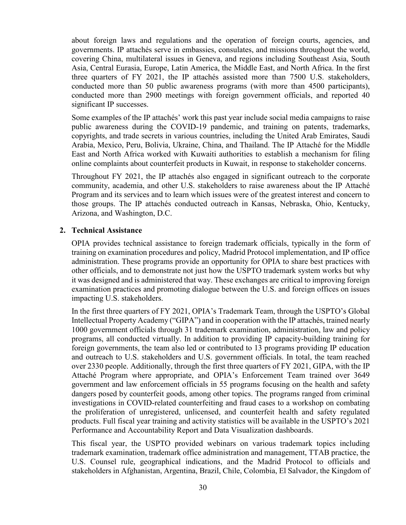about foreign laws and regulations and the operation of foreign courts, agencies, and governments. IP attachés serve in embassies, consulates, and missions throughout the world, covering China, multilateral issues in Geneva, and regions including Southeast Asia, South Asia, Central Eurasia, Europe, Latin America, the Middle East, and North Africa. In the first three quarters of FY 2021, the IP attachés assisted more than 7500 U.S. stakeholders, conducted more than 50 public awareness programs (with more than 4500 participants), conducted more than 2900 meetings with foreign government officials, and reported 40 significant IP successes.

Some examples of the IP attachés' work this past year include social media campaigns to raise public awareness during the COVID-19 pandemic, and training on patents, trademarks, copyrights, and trade secrets in various countries, including the United Arab Emirates, Saudi Arabia, Mexico, Peru, Bolivia, Ukraine, China, and Thailand. The IP Attaché for the Middle East and North Africa worked with Kuwaiti authorities to establish a mechanism for filing online complaints about counterfeit products in Kuwait, in response to stakeholder concerns.

Throughout FY 2021, the IP attachés also engaged in significant outreach to the corporate community, academia, and other U.S. stakeholders to raise awareness about the IP Attaché Program and its services and to learn which issues were of the greatest interest and concern to those groups. The IP attachés conducted outreach in Kansas, Nebraska, Ohio, Kentucky, Arizona, and Washington, D.C.

#### <span id="page-33-0"></span>**2. Technical Assistance**

OPIA provides technical assistance to foreign trademark officials, typically in the form of training on examination procedures and policy, Madrid Protocol implementation, and IP office administration. These programs provide an opportunity for OPIA to share best practices with other officials, and to demonstrate not just how the USPTO trademark system works but why it was designed and is administered that way. These exchanges are critical to improving foreign examination practices and promoting dialogue between the U.S. and foreign offices on issues impacting U.S. stakeholders.

In the first three quarters of FY 2021, OPIA's Trademark Team, through the USPTO's Global Intellectual Property Academy ("GIPA") and in cooperation with the IP attachés, trained nearly 1000 government officials through 31 trademark examination, administration, law and policy programs, all conducted virtually. In addition to providing IP capacity-building training for foreign governments, the team also led or contributed to 13 programs providing IP education and outreach to U.S. stakeholders and U.S. government officials. In total, the team reached over 2330 people. Additionally, through the first three quarters of FY 2021, GIPA, with the IP Attaché Program where appropriate, and OPIA's Enforcement Team trained over 3649 government and law enforcement officials in 55 programs focusing on the health and safety dangers posed by counterfeit goods, among other topics. The programs ranged from criminal investigations in COVID-related counterfeiting and fraud cases to a workshop on combating the proliferation of unregistered, unlicensed, and counterfeit health and safety regulated products. Full fiscal year training and activity statistics will be available in the USPTO's 2021 Performance and Accountability Report and Data Visualization dashboards.

This fiscal year, the USPTO provided webinars on various trademark topics including trademark examination, trademark office administration and management, TTAB practice, the U.S. Counsel rule, geographical indications, and the Madrid Protocol to officials and stakeholders in Afghanistan, Argentina, Brazil, Chile, Colombia, El Salvador, the Kingdom of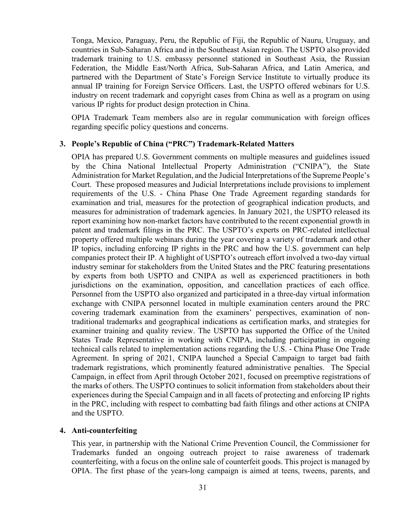Tonga, Mexico, Paraguay, Peru, the Republic of Fiji, the Republic of Nauru, Uruguay, and countries in Sub-Saharan Africa and in the Southeast Asian region. The USPTO also provided trademark training to U.S. embassy personnel stationed in Southeast Asia, the Russian Federation, the Middle East/North Africa, Sub-Saharan Africa, and Latin America, and partnered with the Department of State's Foreign Service Institute to virtually produce its annual IP training for Foreign Service Officers. Last, the USPTO offered webinars for U.S. industry on recent trademark and copyright cases from China as well as a program on using various IP rights for product design protection in China.

OPIA Trademark Team members also are in regular communication with foreign offices regarding specific policy questions and concerns.

#### <span id="page-34-0"></span>**3. People's Republic of China ("PRC") Trademark-Related Matters**

OPIA has prepared U.S. Government comments on multiple measures and guidelines issued by the China National Intellectual Property Administration ("CNIPA"), the State Administration for Market Regulation, and the Judicial Interpretations of the Supreme People's Court. These proposed measures and Judicial Interpretations include provisions to implement requirements of the U.S. - China Phase One Trade Agreement regarding standards for examination and trial, measures for the protection of geographical indication products, and measures for administration of trademark agencies. In January 2021, the USPTO released its report examining how non-market factors have contributed to the recent exponential growth in patent and trademark filings in the PRC. The USPTO's experts on PRC-related intellectual property offered multiple webinars during the year covering a variety of trademark and other IP topics, including enforcing IP rights in the PRC and how the U.S. government can help companies protect their IP. A highlight of USPTO's outreach effort involved a two-day virtual industry seminar for stakeholders from the United States and the PRC featuring presentations by experts from both USPTO and CNIPA as well as experienced practitioners in both jurisdictions on the examination, opposition, and cancellation practices of each office. Personnel from the USPTO also organized and participated in a three-day virtual information exchange with CNIPA personnel located in multiple examination centers around the PRC covering trademark examination from the examiners' perspectives, examination of nontraditional trademarks and geographical indications as certification marks, and strategies for examiner training and quality review. The USPTO has supported the Office of the United States Trade Representative in working with CNIPA, including participating in ongoing technical calls related to implementation actions regarding the U.S. - China Phase One Trade Agreement. In spring of 2021, CNIPA launched a Special Campaign to target bad faith trademark registrations, which prominently featured administrative penalties. The Special Campaign, in effect from April through October 2021, focused on preemptive registrations of the marks of others. The USPTO continues to solicit information from stakeholders about their experiences during the Special Campaign and in all facets of protecting and enforcing IP rights in the PRC, including with respect to combatting bad faith filings and other actions at CNIPA and the USPTO.

#### <span id="page-34-1"></span>**4. Anti-counterfeiting**

This year, in partnership with the National Crime Prevention Council, the Commissioner for Trademarks funded an ongoing outreach project to raise awareness of trademark counterfeiting, with a focus on the online sale of counterfeit goods. This project is managed by OPIA. The first phase of the years-long campaign is aimed at teens, tweens, parents, and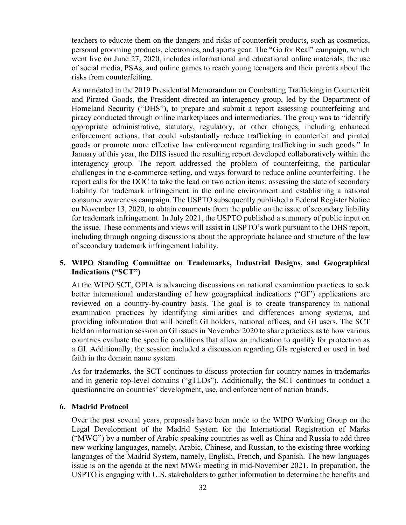teachers to educate them on the dangers and risks of counterfeit products, such as cosmetics, personal grooming products, electronics, and sports gear. The "Go for Real" campaign, which went live on June 27, 2020, includes informational and educational online materials, the use of social media, PSAs, and online games to reach young teenagers and their parents about the risks from counterfeiting.

As mandated in the 2019 Presidential Memorandum on Combatting Trafficking in Counterfeit and Pirated Goods, the President directed an interagency group, led by the Department of Homeland Security ("DHS"), to prepare and submit a report assessing counterfeiting and piracy conducted through online marketplaces and intermediaries. The group was to "identify appropriate administrative, statutory, regulatory, or other changes, including enhanced enforcement actions, that could substantially reduce trafficking in counterfeit and pirated goods or promote more effective law enforcement regarding trafficking in such goods." In January of this year, the DHS issued the resulting report developed collaboratively within the interagency group. The report addressed the problem of counterfeiting, the particular challenges in the e-commerce setting, and ways forward to reduce online counterfeiting. The report calls for the DOC to take the lead on two action items: assessing the state of secondary liability for trademark infringement in the online environment and establishing a national consumer awareness campaign. The USPTO subsequently published a Federal Register Notice on November 13, 2020, to obtain comments from the public on the issue of secondary liability for trademark infringement. In July 2021, the USPTO published a summary of public input on the issue. These comments and views will assist in USPTO's work pursuant to the DHS report, including through ongoing discussions about the appropriate balance and structure of the law of secondary trademark infringement liability.

# <span id="page-35-0"></span>**5. WIPO Standing Committee on Trademarks, Industrial Designs, and Geographical Indications ("SCT")**

At the WIPO SCT, OPIA is advancing discussions on national examination practices to seek better international understanding of how geographical indications ("GI") applications are reviewed on a country-by-country basis. The goal is to create transparency in national examination practices by identifying similarities and differences among systems, and providing information that will benefit GI holders, national offices, and GI users. The SCT held an information session on GI issues in November 2020 to share practices as to how various countries evaluate the specific conditions that allow an indication to qualify for protection as a GI. Additionally, the session included a discussion regarding GIs registered or used in bad faith in the domain name system.

As for trademarks, the SCT continues to discuss protection for country names in trademarks and in generic top-level domains ("gTLDs"). Additionally, the SCT continues to conduct a questionnaire on countries' development, use, and enforcement of nation brands.

# <span id="page-35-1"></span>**6. Madrid Protocol**

Over the past several years, proposals have been made to the WIPO Working Group on the Legal Development of the Madrid System for the International Registration of Marks ("MWG") by a number of Arabic speaking countries as well as China and Russia to add three new working languages, namely, Arabic, Chinese, and Russian, to the existing three working languages of the Madrid System, namely, English, French, and Spanish. The new languages issue is on the agenda at the next MWG meeting in mid-November 2021. In preparation, the USPTO is engaging with U.S. stakeholders to gather information to determine the benefits and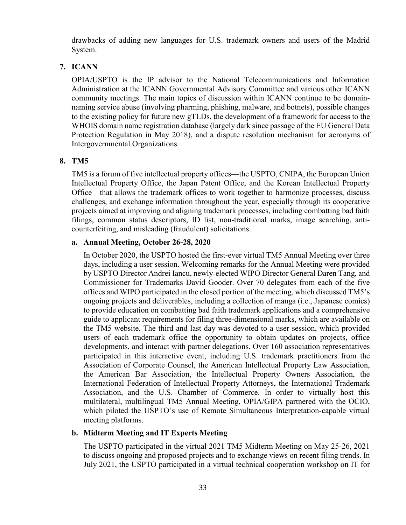drawbacks of adding new languages for U.S. trademark owners and users of the Madrid System.

# <span id="page-36-0"></span>**7. ICANN**

OPIA/USPTO is the IP advisor to the National Telecommunications and Information Administration at the ICANN Governmental Advisory Committee and various other ICANN community meetings. The main topics of discussion within ICANN continue to be domainnaming service abuse (involving pharming, phishing, malware, and botnets), possible changes to the existing policy for future new gTLDs, the development of a framework for access to the WHOIS domain name registration database (largely dark since passage of the EU General Data Protection Regulation in May 2018), and a dispute resolution mechanism for acronyms of Intergovernmental Organizations.

# <span id="page-36-1"></span>**8. TM5**

TM5 is a forum of five intellectual property offices—the USPTO, CNIPA, the European Union Intellectual Property Office, the Japan Patent Office, and the Korean Intellectual Property Office—that allows the trademark offices to work together to harmonize processes, discuss challenges, and exchange information throughout the year, especially through its cooperative projects aimed at improving and aligning trademark processes, including combatting bad faith filings, common status descriptors, ID list, non-traditional marks, image searching, anticounterfeiting, and misleading (fraudulent) solicitations.

# **a. Annual Meeting, October 26-28, 2020**

In October 2020, the USPTO hosted the first-ever virtual TM5 Annual Meeting over three days, including a user session. Welcoming remarks for the Annual Meeting were provided by USPTO Director Andrei Iancu, newly-elected WIPO Director General Daren Tang, and Commissioner for Trademarks David Gooder. Over 70 delegates from each of the five offices and WIPO participated in the closed portion of the meeting, which discussed TM5's ongoing projects and deliverables, including a collection of manga (i.e., Japanese comics) to provide education on combatting bad faith trademark applications and a comprehensive guide to applicant requirements for filing three-dimensional marks, which are available on the TM5 website. The third and last day was devoted to a user session, which provided users of each trademark office the opportunity to obtain updates on projects, office developments, and interact with partner delegations. Over 160 association representatives participated in this interactive event, including U.S. trademark practitioners from the Association of Corporate Counsel, the American Intellectual Property Law Association, the American Bar Association, the Intellectual Property Owners Association, the International Federation of Intellectual Property Attorneys, the International Trademark Association, and the U.S. Chamber of Commerce. In order to virtually host this multilateral, multilingual TM5 Annual Meeting, OPIA/GIPA partnered with the OCIO, which piloted the USPTO's use of Remote Simultaneous Interpretation-capable virtual meeting platforms.

# **b. Midterm Meeting and IT Experts Meeting**

The USPTO participated in the virtual 2021 TM5 Midterm Meeting on May 25-26, 2021 to discuss ongoing and proposed projects and to exchange views on recent filing trends. In July 2021, the USPTO participated in a virtual technical cooperation workshop on IT for